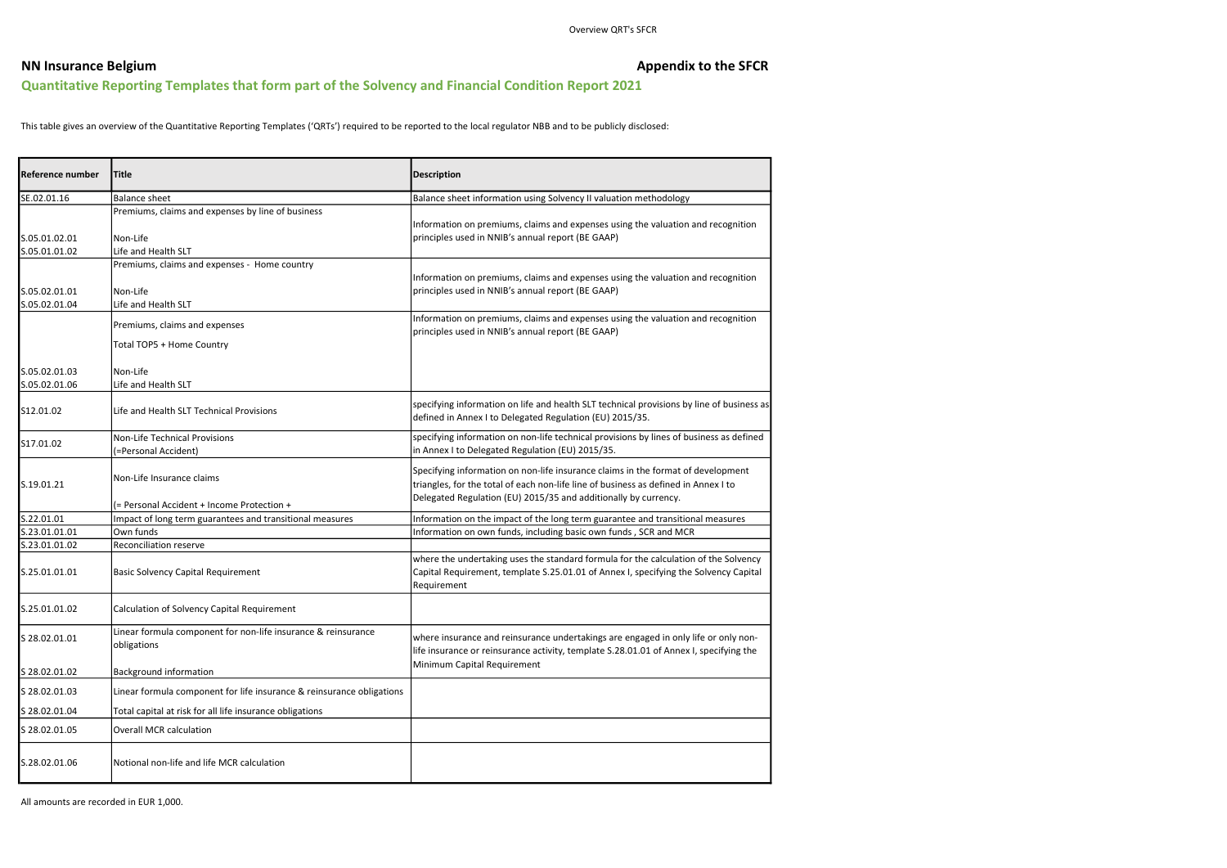# NN Insurance Belgium **Appendix to the SFCR** Quantitative Reporting Templates that form part of the Solvency and Financial Condition Report 2021

This table gives an overview of the Quantitative Reporting Templates ('QRTs') required to be reported to the local regulator NBB and to be publicly disclosed:

All amounts are recorded in EUR 1,000.

| Reference number               | <b>Title</b>                                                                         | <b>Description</b>                                                                                                                                                                                                                         |
|--------------------------------|--------------------------------------------------------------------------------------|--------------------------------------------------------------------------------------------------------------------------------------------------------------------------------------------------------------------------------------------|
| SE.02.01.16                    | <b>Balance sheet</b>                                                                 | Balance sheet information using Solvency II valuation methodology                                                                                                                                                                          |
| S.05.01.02.01<br>S.05.01.01.02 | Premiums, claims and expenses by line of business<br>Non-Life<br>Life and Health SLT | Information on premiums, claims and expenses using the valuation and recognition<br>principles used in NNIB's annual report (BE GAAP)                                                                                                      |
| S.05.02.01.01<br>S.05.02.01.04 | Premiums, claims and expenses - Home country<br>Non-Life<br>Life and Health SLT      | Information on premiums, claims and expenses using the valuation and recognition<br>principles used in NNIB's annual report (BE GAAP)                                                                                                      |
|                                | Premiums, claims and expenses<br>Total TOP5 + Home Country                           | Information on premiums, claims and expenses using the valuation and recognition<br>principles used in NNIB's annual report (BE GAAP)                                                                                                      |
| S.05.02.01.03<br>S.05.02.01.06 | Non-Life<br>Life and Health SLT                                                      |                                                                                                                                                                                                                                            |
| S12.01.02                      | Life and Health SLT Technical Provisions                                             | specifying information on life and health SLT technical provisions by line of business as<br>defined in Annex I to Delegated Regulation (EU) 2015/35.                                                                                      |
| S17.01.02                      | <b>Non-Life Technical Provisions</b><br>(=Personal Accident)                         | specifying information on non-life technical provisions by lines of business as defined<br>in Annex I to Delegated Regulation (EU) 2015/35.                                                                                                |
| S.19.01.21                     | Non-Life Insurance claims                                                            | Specifying information on non-life insurance claims in the format of development<br>triangles, for the total of each non-life line of business as defined in Annex I to<br>Delegated Regulation (EU) 2015/35 and additionally by currency. |
|                                | (= Personal Accident + Income Protection +                                           |                                                                                                                                                                                                                                            |
| S.22.01.01                     | Impact of long term guarantees and transitional measures<br>Own funds                | Information on the impact of the long term guarantee and transitional measures                                                                                                                                                             |
| S.23.01.01.01<br>S.23.01.01.02 | Reconciliation reserve                                                               | Information on own funds, including basic own funds, SCR and MCR                                                                                                                                                                           |
| S.25.01.01.01                  | <b>Basic Solvency Capital Requirement</b>                                            | where the undertaking uses the standard formula for the calculation of the Solvency<br>Capital Requirement, template S.25.01.01 of Annex I, specifying the Solvency Capital<br>Requirement                                                 |
| S.25.01.01.02                  | Calculation of Solvency Capital Requirement                                          |                                                                                                                                                                                                                                            |
| S 28.02.01.01                  | Linear formula component for non-life insurance & reinsurance<br>obligations         | where insurance and reinsurance undertakings are engaged in only life or only non-<br>life insurance or reinsurance activity, template S.28.01.01 of Annex I, specifying the                                                               |
| S 28.02.01.02                  | Background information                                                               | Minimum Capital Requirement                                                                                                                                                                                                                |
| S 28.02.01.03                  | Linear formula component for life insurance & reinsurance obligations                |                                                                                                                                                                                                                                            |
| S 28.02.01.04                  | Total capital at risk for all life insurance obligations                             |                                                                                                                                                                                                                                            |
| S 28.02.01.05                  | <b>Overall MCR calculation</b>                                                       |                                                                                                                                                                                                                                            |
| S.28.02.01.06                  | Notional non-life and life MCR calculation                                           |                                                                                                                                                                                                                                            |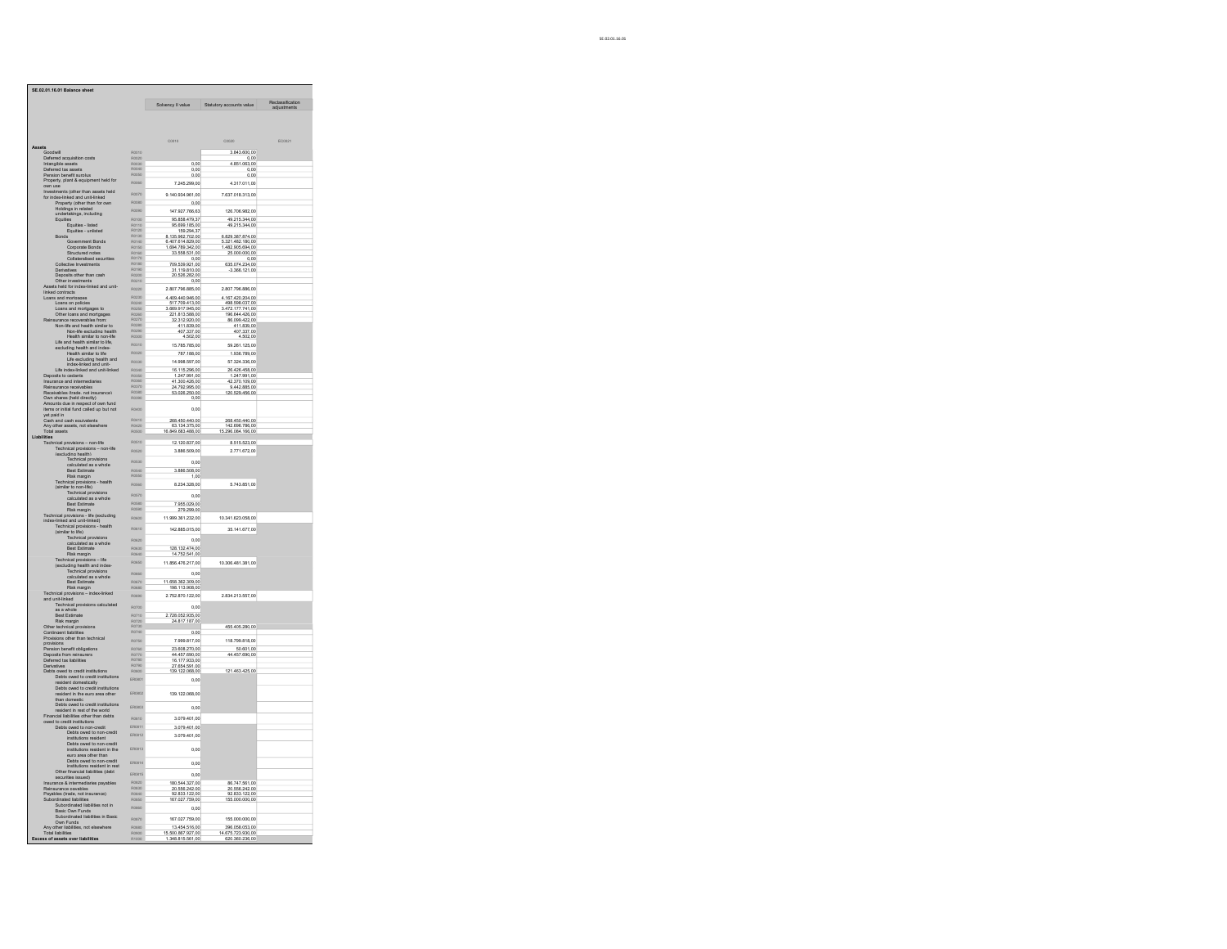|                                                                                                                                                                                                          |                              | Solvency II value                                        | Statutory accounts value                              | Reclassification<br>adjustments |
|----------------------------------------------------------------------------------------------------------------------------------------------------------------------------------------------------------|------------------------------|----------------------------------------------------------|-------------------------------------------------------|---------------------------------|
|                                                                                                                                                                                                          |                              |                                                          |                                                       |                                 |
|                                                                                                                                                                                                          |                              |                                                          |                                                       |                                 |
|                                                                                                                                                                                                          |                              | C0010                                                    | C0020                                                 | EC0021                          |
|                                                                                                                                                                                                          | R0010                        |                                                          | 3.843.600.00                                          |                                 |
| Deferred acquisition costs<br>Intangible assets                                                                                                                                                          | ------<br>R0020<br>R0030     | 0.00                                                     | 0.00<br>4.851.063.00                                  |                                 |
| Deferred tax assets<br>Pension benefit surplus                                                                                                                                                           | R0040                        | 0.00                                                     | 0.00                                                  |                                 |
| Property, plant & equipm<br>ent held for                                                                                                                                                                 | R0050                        | 0.00                                                     | 0.00                                                  |                                 |
|                                                                                                                                                                                                          | ROOFO                        | 7.245.299,00                                             | 4.317.011,00                                          |                                 |
| own use<br>Investments (other than assets held                                                                                                                                                           | R0070                        | 9.140.934.961,00                                         | 7.637.018.313,00                                      |                                 |
| for index-linked and unit-linked<br>Property (other than for own<br>Hioldings in related<br>undertakings, including<br>Equifier                                                                          | R0080                        | 0.00                                                     |                                                       |                                 |
|                                                                                                                                                                                                          | Roote                        | 147.927.766,63                                           | 126.706.982,00                                        |                                 |
| es                                                                                                                                                                                                       | R0100                        | 95.858.479.37                                            | 49.215.344.00                                         |                                 |
| Equities - listed<br>Equities - unlisted                                                                                                                                                                 | R0110                        | 95.699.185.00<br>159,294.37                              | 49.215.344.00                                         |                                 |
| Re<br>nds                                                                                                                                                                                                | R0120<br>R0130               |                                                          | 6.829.387.874.00                                      |                                 |
| s<br>Government Bonds<br>Corporate Bonds                                                                                                                                                                 |                              | 8.135.962.702.00<br>6.407.614.829.00<br>1.694.789.342.00 | 5.321.482.180.00<br>1.482.905.694.00                  |                                 |
|                                                                                                                                                                                                          | R0160                        | 33.558.531.00                                            | 25,000,000.00                                         |                                 |
| Structured notes<br>Collateralised securities                                                                                                                                                            | R0170<br>R0180               | 0.00                                                     | 0.00<br>635.074.234.00                                |                                 |
| Collective Investments<br>Derivatives<br>Deposits other than cash                                                                                                                                        | NO150<br>R0150<br>R0200      | 709.539.921.00                                           | $-3.366.121.00$                                       |                                 |
|                                                                                                                                                                                                          |                              | 31.119.810.00<br>20.526.282.00                           |                                                       |                                 |
| Other investments<br>ats held for index-linked and unit-                                                                                                                                                 | R0210                        | 0.00                                                     |                                                       |                                 |
| inked contracts<br>cans and mortgages<br>Loans on policies                                                                                                                                               | R0220                        | 2.807.796.885.00                                         | 2.807.796.886.00                                      |                                 |
|                                                                                                                                                                                                          | R0230<br>R0240               | 4.409.440.946.00<br>517.709.413.00                       | 4.167.420.204.00<br>498.598.037.00                    |                                 |
| Loans and mortoaces to<br>Other loans and mortoaces                                                                                                                                                      | <b>R0250</b>                 | 3.669.917.945.00                                         | 3.472.177.741.00<br>196.644.426.00                    |                                 |
| Rein                                                                                                                                                                                                     | R0260<br>R0270               | 221.813.588.00<br>32.312.920.00                          | 86.099.422.00                                         |                                 |
| Unter teams and included:<br>urance recoverables from:<br>Non-life and health similar to<br>Non-life excluding health                                                                                    | ROZEO<br>ROZEO<br>ROZEO      |                                                          | 411.839.00<br>407.337.00                              |                                 |
|                                                                                                                                                                                                          | R0300                        | 411.839.00<br>407.337.00<br>4.502.00                     | 4.502.00                                              |                                 |
| Health similar to non-life<br>Life and health similar to life,                                                                                                                                           | R0310                        | 15.785.785.00                                            | 59.261.125.00                                         |                                 |
| Life and nearth similar to life,<br>excluding health similar to life<br>Health similar to life<br>Life excluding health and<br>index-linked and unit-linked                                              | R0320                        | 787.188.00                                               | 1.936.789.00                                          |                                 |
|                                                                                                                                                                                                          | R0330                        | 14.998.597,00                                            | 57.324.336.00                                         |                                 |
|                                                                                                                                                                                                          | R0340                        | 16.115.296.00                                            | 26.426.458.00                                         |                                 |
| Dec                                                                                                                                                                                                      | <b>R0350</b>                 |                                                          | 1.247.991.00                                          |                                 |
| Deposits to cedants<br>Insurance and intermedia<br>Reinsurance receivables                                                                                                                               | ROGEO<br>ROGEO<br>ROG70      | 1.247.991.00<br>41.300.426.00<br>24.792.995.00           | 42.370.109.00<br>9.442.885.00                         |                                 |
|                                                                                                                                                                                                          |                              | 53.026.250.00                                            | 120.529.456.00                                        |                                 |
| Receivables (trade, not insurance)<br>Own shares (held directly)                                                                                                                                         | <b>R0390</b>                 | 0.00                                                     |                                                       |                                 |
| Amounts due in respect of own fund<br>items or initial fund called up but not<br>vet paid in                                                                                                             | ROADO                        | 0.00                                                     |                                                       |                                 |
|                                                                                                                                                                                                          |                              |                                                          |                                                       |                                 |
| Cash and cash equivalents<br>Anv other assets, not elsewhere                                                                                                                                             | R0410<br>R0420               | 268.450.440.00<br>63.134.375.00                          | 268.450.440.00<br>142.696.786.00                      |                                 |
| <b>Total assets</b>                                                                                                                                                                                      | ROSCO                        | 16.849.683.488.00                                        | 15.296.084.166.00                                     |                                 |
| lities<br>Technical provisions - non-life<br>Technical provisions - no                                                                                                                                   | R0510                        | 12.120.837.00                                            | 8.515.523.00                                          |                                 |
| Technical provisions - non-life<br>(excluding health)                                                                                                                                                    | R0520                        | 3.886.509.00                                             | 2.771.672.00                                          |                                 |
|                                                                                                                                                                                                          |                              |                                                          |                                                       |                                 |
| Technical provisions<br>calculated as a whole<br>Best Estimate                                                                                                                                           | R0530                        | 0.00                                                     |                                                       |                                 |
|                                                                                                                                                                                                          | RIGAN                        | 3.886.508.00                                             |                                                       |                                 |
| Post case<br>Technical provisions - health<br>(similar to non-life)<br>Technical provisions<br>calculated as a whole<br>fortimula                                                                        | <b>R0650</b><br><b>R0560</b> | 1.00                                                     |                                                       |                                 |
|                                                                                                                                                                                                          |                              | 8.234.328.00                                             | 5.743.851.00                                          |                                 |
|                                                                                                                                                                                                          | R0570                        | 0.00                                                     |                                                       |                                 |
| <b>Best Estimate</b>                                                                                                                                                                                     |                              | 7.955.029.00                                             |                                                       |                                 |
| Risk margin                                                                                                                                                                                              | R0590                        | 279.299.00                                               |                                                       |                                 |
| rus in music provisions - life (excluding<br>index-linked and unit-linked)<br>Technical provisions - life (excluding<br>forminal provisions - health<br>forminal provisions                              | R0600                        | 11.999.361.232,00                                        | 10.341.623.058.00                                     |                                 |
|                                                                                                                                                                                                          | R0610                        | 142.885.015,00                                           | 35.141.677,00                                         |                                 |
|                                                                                                                                                                                                          | R0620                        | 0.00                                                     |                                                       |                                 |
| calculated as a whole<br>Best Estimate<br>Risk margin                                                                                                                                                    | R0630                        |                                                          |                                                       |                                 |
|                                                                                                                                                                                                          | ROBAN                        | 128.132.474.00<br>14.752.541.00                          |                                                       |                                 |
| Technical provisions - life<br>(excluding health and index-                                                                                                                                              | R0650                        | 11.856.476.217,00                                        | 10.306.481.381,00                                     |                                 |
|                                                                                                                                                                                                          | R0660                        | 0.00                                                     |                                                       |                                 |
| Technical provisions<br>calculated as a whole<br>Best Estimate                                                                                                                                           | R0670                        | 11.658.362.309.00                                        |                                                       |                                 |
| Risk margin                                                                                                                                                                                              |                              | 198.113.908.00                                           |                                                       |                                 |
| Technical provisions - index-linked                                                                                                                                                                      | <b>R0690</b>                 | 2.752.870.122.00                                         | 2.834.213.557.00                                      |                                 |
| Example in the material of the material distribution of the material as a whole<br>as a whole<br>Best Estimate                                                                                           | R <sub>020</sub>             | 0.00                                                     |                                                       |                                 |
|                                                                                                                                                                                                          | R0710                        |                                                          |                                                       |                                 |
| Risk margin                                                                                                                                                                                              | R0720                        | 2.728.052.935.00<br>24.817.187.00                        |                                                       |                                 |
| Other technical provisions<br>Contingent liabilities<br>Provisions other than technical                                                                                                                  | R0730                        |                                                          | 455.405.280.00                                        |                                 |
|                                                                                                                                                                                                          | R0740<br>R0750               | 0.00                                                     |                                                       |                                 |
| provisions                                                                                                                                                                                               |                              | 7.999.817,00                                             | 118.799.818,00                                        |                                 |
| Diotatoria<br>Pension benefit obligations                                                                                                                                                                | R0760<br>R0770               | 23.608.270.00<br>44.457.690.00                           | 50.601.00<br>44.457.690.00                            |                                 |
| Deposits from reinsurers<br>Deferred tax liabilities<br>Derivatives                                                                                                                                      | R0780<br>R0790               | 16.177.933.00<br>27.654.591.00                           |                                                       |                                 |
|                                                                                                                                                                                                          |                              | 139.122.068.00                                           | 121.463.425.00                                        |                                 |
| Debts owed to credit institutions<br>Debts owed to credit institutions                                                                                                                                   | ER0801                       | 0,00                                                     |                                                       |                                 |
| resident domestically                                                                                                                                                                                    |                              |                                                          |                                                       |                                 |
| Debts owed to credit institution<br>resident in the euro area other                                                                                                                                      | <b>FR0802</b>                | 139.122.068,00                                           |                                                       |                                 |
| than domestic<br>Debts owed to credit institutions                                                                                                                                                       |                              |                                                          |                                                       |                                 |
|                                                                                                                                                                                                          | ER0803                       | 0.00                                                     |                                                       |                                 |
|                                                                                                                                                                                                          | R0810                        | 3.079.401.00                                             |                                                       |                                 |
|                                                                                                                                                                                                          | ER0811                       | 3.079.401.00                                             |                                                       |                                 |
| Francisco and the contrast and the world<br>ancial liabilities other than debts<br>ancial liabilities other than debts<br>to credit institutions<br>Debts owed to non-credit<br>Debts owed to non-credit | ER0812                       | 3.079.401,00                                             |                                                       |                                 |
| institutions resident                                                                                                                                                                                    |                              |                                                          |                                                       |                                 |
|                                                                                                                                                                                                          | ER0813                       | 0,00                                                     |                                                       |                                 |
| Institutions resident<br>Debts owed to non-credit<br>institutions resident in the<br>euro area other than<br>Debts owed to non-credit                                                                    |                              |                                                          |                                                       |                                 |
|                                                                                                                                                                                                          | ER0814                       | 0,00                                                     |                                                       |                                 |
|                                                                                                                                                                                                          | <b>FROR15</b>                | 0.00                                                     |                                                       |                                 |
|                                                                                                                                                                                                          | R0820                        | 180.544.327.00                                           | 86.747.561.00                                         |                                 |
| institutions resident in rest<br>Other financial liabilities (debt<br>securities issued)<br>Insurance & intermediaries pavables<br>Reinsurance pavables                                                  | R0830                        | 20.556.242.00                                            | 20.556.242.00                                         |                                 |
| Payables (trade, not insurance)                                                                                                                                                                          | <b>R0840</b><br>R0850        | 92.833.122.00<br>167.027.759.00                          | 92.833.122.00<br>155.000.000.00                       |                                 |
| avables traue, nor maintains and the Subordinated liabilities not in<br>Subordinated liabilities not in<br>Basic Own Funds<br>Subordinated liabilities in Basic                                          | ROBED                        | 0.00                                                     |                                                       |                                 |
|                                                                                                                                                                                                          |                              |                                                          |                                                       |                                 |
| Own Funds                                                                                                                                                                                                | R0870                        | 167.027.759,00                                           | 155.000.000,00                                        |                                 |
| Any other liabilities, not elsewhere<br>Total liabilities                                                                                                                                                | <b>R0880</b><br>Rooto        | 13.454.516.00<br>15.500.867.927.00<br>1.348.815.561.00   | 396.058.053.00<br>14.675.723.930.00<br>620.360.236.00 |                                 |
|                                                                                                                                                                                                          |                              |                                                          |                                                       |                                 |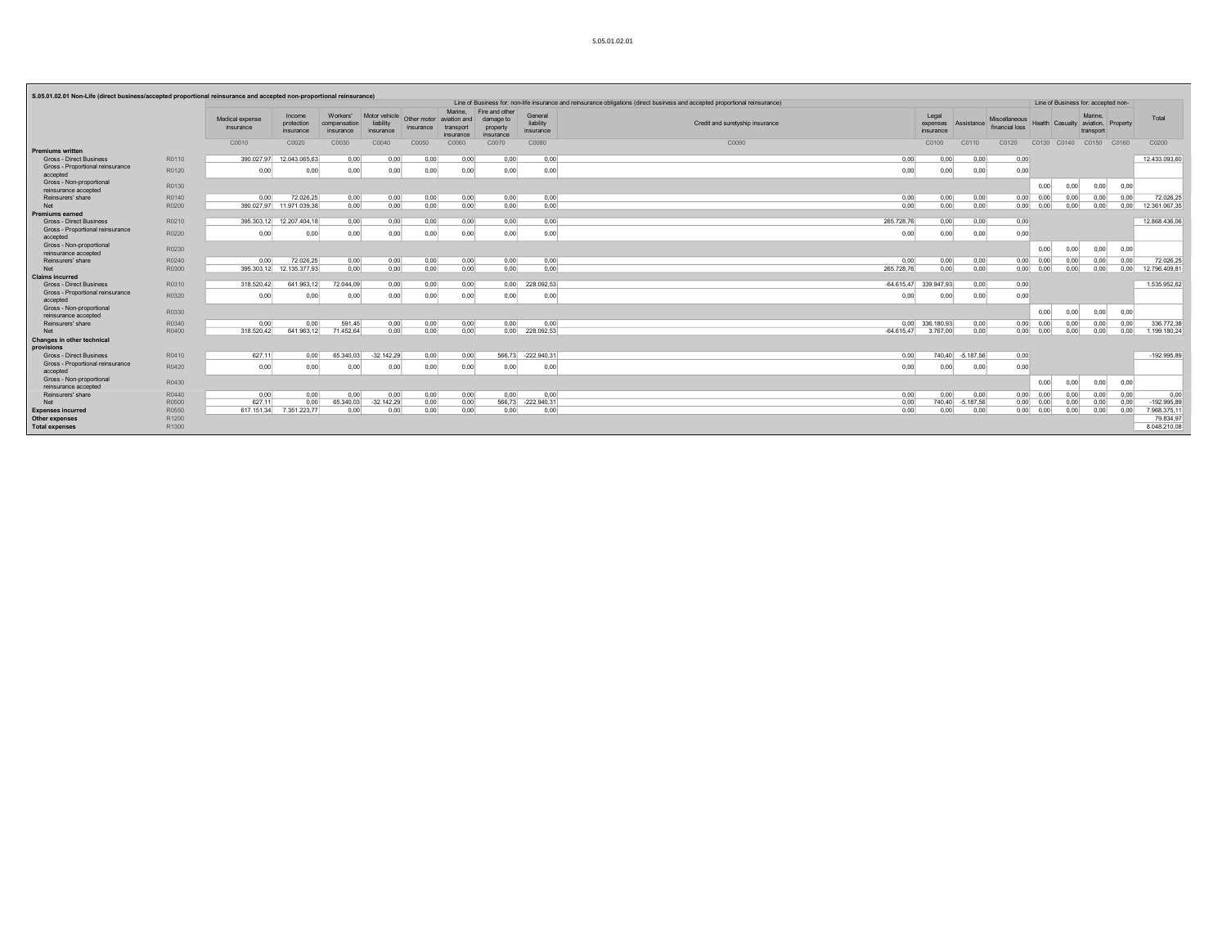|                                                           |                   |                              |                                   |                                       |                                         |                                                 |                      |                                                      |                                   | Line of Business for: non-life insurance and reinsurance obligations (direct business and accepted proportional reinsurance) |                                |                  |                                        |                                    |      | Line of Business for: accepted non- |      |               |
|-----------------------------------------------------------|-------------------|------------------------------|-----------------------------------|---------------------------------------|-----------------------------------------|-------------------------------------------------|----------------------|------------------------------------------------------|-----------------------------------|------------------------------------------------------------------------------------------------------------------------------|--------------------------------|------------------|----------------------------------------|------------------------------------|------|-------------------------------------|------|---------------|
|                                                           |                   | Medical expense<br>insurance | Income<br>protection<br>insurance | Workers'<br>compensation<br>insurance | Motor vehicle<br>liability<br>insurance | Other motor aviation and<br>insurance transport | Marine.<br>insurance | Fire and other<br>damage to<br>property<br>insurance | General<br>liability<br>insurance | Credit and suretyship insurance                                                                                              | Legal<br>expenses<br>insurance | Assistance       | <b>Miscellaneous</b><br>financial loss | Health Casualty aviation, Property |      | Marine.<br>transport                |      | Total         |
|                                                           |                   | C0010                        | C0020                             | C0030                                 | C0040                                   | C0050                                           | C0060                | C0070                                                | C0080                             | C0090                                                                                                                        | C0100                          | C0110            | C0120                                  | C0130 C0140                        |      | C0150 C0160                         |      | C0200         |
| <b>Premiums written</b><br><b>Gross - Direct Business</b> | R0110             | 390.027.97                   | 12.043.065.63                     | 0.00                                  | 0.00                                    | 0.00                                            | 0.00                 | 0.00                                                 | 0.00                              | 0.00                                                                                                                         | 0.00                           | 0.00             | 0.00                                   |                                    |      |                                     |      | 12.433.093.60 |
| Gross - Proportional reinsurance                          |                   |                              |                                   |                                       |                                         |                                                 |                      |                                                      |                                   |                                                                                                                              |                                |                  |                                        |                                    |      |                                     |      |               |
| accepted                                                  | R0120             | 0,00                         | 0,00                              | 0,00                                  | 0,00                                    | 0,00                                            | 0,00                 | 0,00                                                 | 0,00                              | 0,00                                                                                                                         | 0,00                           | 0,00             | 0,00                                   |                                    |      |                                     |      |               |
| Gross - Non-proportional<br>reinsurance accepted          | R0130             |                              |                                   |                                       |                                         |                                                 |                      |                                                      |                                   |                                                                                                                              |                                |                  |                                        | 0.00                               | 0.00 | 0,00                                | 0,00 |               |
| Reinsurers' share                                         | R0140             | 0,00                         | 72.026,25                         | 0,00                                  | 0,00                                    | 0,00                                            | 0,00                 | 0,00                                                 | 0,00                              | 0,00                                                                                                                         | 0,00                           | 0,00             | 0,00                                   | 0.00                               | 0,00 | 0,00                                | 0,00 | 72.026,25     |
| Net                                                       | R0200             |                              | 390.027.97 11.971.039.38          | 0.00                                  | 0.00                                    | 0.00                                            | 0.00                 | 0.00                                                 | 0,00                              | 0.00                                                                                                                         | 0.00                           | 0.00             | 0.00                                   | 0.00                               | 0.00 | 0.00                                | 0.00 | 12.361.067.35 |
| Premiums earned                                           |                   |                              |                                   |                                       |                                         |                                                 |                      |                                                      |                                   |                                                                                                                              |                                |                  |                                        |                                    |      |                                     |      |               |
| <b>Gross - Direct Business</b>                            | R0210             |                              | 395.303,12 12.207.404,18          | 0,00                                  | 0,00                                    | 0,00                                            | 0,00                 | 0,00                                                 | 0,00                              | 265.728,76                                                                                                                   | 0,00                           | 0.00             | 0,00                                   |                                    |      |                                     |      | 12.868.436.06 |
| Gross - Proportional reinsurance<br>accepted              | R0220             | 0,00                         | 0,00                              | 0,00                                  | 0,00                                    | 0,00                                            | 0,00                 | 0,00                                                 | 0,00                              | 0,00                                                                                                                         | 0,00                           | 0,00             | 0,00                                   |                                    |      |                                     |      |               |
| Gross - Non-proportional<br>reinsurance accepted          | R0230             |                              |                                   |                                       |                                         |                                                 |                      |                                                      |                                   |                                                                                                                              |                                |                  |                                        | 0.00                               | 0.00 | 0,00                                | 0.00 |               |
| Reinsurers' share                                         | R0240             | 0.00                         | 72.026,25                         | 0,00                                  | 0,00                                    | 0,00                                            | 0,00                 | 0,00                                                 | 0,00                              | 0.00                                                                                                                         | 0,00                           | 0,00             | 0,00                                   | 0.00                               | 0.00 | 0.00                                | 0.00 | 72.026,25     |
| Net                                                       | R0300             |                              | 395.303.12 12.135.377,93          | 0.00                                  | 0.00                                    | 0.00                                            | 0.00                 | 0.00                                                 | 0.00                              | 265,728.76                                                                                                                   | 0.00                           | 0.00             | 0.00                                   | 0.00                               | 0.00 | 0.00                                | 0.00 | 12.796.409.81 |
| <b>Claims incurred</b>                                    |                   |                              |                                   |                                       |                                         |                                                 |                      |                                                      |                                   |                                                                                                                              |                                |                  |                                        |                                    |      |                                     |      |               |
| <b>Gross - Direct Business</b>                            | R0310             | 318,520.42                   | 641.963.12                        | 72.044.09                             | 0.00                                    | 0,00                                            | 0,00                 | 0.00                                                 | 228.092.53                        |                                                                                                                              | $-64.615.47$ 339.947.93        | 0.00             | 0,00                                   |                                    |      |                                     |      | 1.535.952.62  |
| Gross - Proportional reinsurance<br>accepted              | R0320             | 0.00                         | 0.00                              | 0.00                                  | 0.00                                    | 0.00                                            | 0.00                 | 0.00                                                 | 0,00                              | 0.00                                                                                                                         | 0,00                           | 0.00             | 0.00                                   |                                    |      |                                     |      |               |
| Gross - Non-proportional                                  | R0330             |                              |                                   |                                       |                                         |                                                 |                      |                                                      |                                   |                                                                                                                              |                                |                  |                                        | 0.00                               | 0.00 | 0,00                                | 0,00 |               |
| reinsurance accepted                                      |                   |                              |                                   |                                       |                                         |                                                 |                      |                                                      |                                   |                                                                                                                              |                                |                  |                                        |                                    |      |                                     |      |               |
| Reinsurers' share                                         | R0340             | 0.00                         | 0.00                              | 591.45                                | 0,00                                    | 0,00                                            | 0,00                 | 0.00                                                 | 0.00                              |                                                                                                                              | 0.00 336,180.93                | 0.00             |                                        | $0.00$ $0.00$                      | 0.00 | 0.00                                | 0.00 | 336,772.38    |
| Net                                                       | R0400             | 318,520.42                   | 641.963.12                        | 71.452.64                             | 0.00                                    | 0.00                                            | 0.00                 |                                                      | 0.00 228,092.53                   | $-64.615.47$                                                                                                                 | 3.767.00                       | 0.00             |                                        | $0.00$ $0.00$                      | 0.00 | 0.00                                | 0.00 | 1.199.180.24  |
| <b>Changes in other technical</b><br>provisions           |                   |                              |                                   |                                       |                                         |                                                 |                      |                                                      |                                   |                                                                                                                              |                                |                  |                                        |                                    |      |                                     |      |               |
| <b>Gross - Direct Business</b>                            | R0410             | 627.11                       | 0.00                              | 65,340.03                             | $-32.142,29$                            | 0,00                                            | 0.00                 |                                                      | 566,73 -222.940,31                | 0.00                                                                                                                         |                                | 740,40 -5.187,56 | 0,00                                   |                                    |      |                                     |      | $-192.995.89$ |
| Gross - Proportional reinsurance<br>accepted              | R0420             | 0,00                         | 0.00                              | 0.00                                  | 0,00                                    | 0,00                                            | 0.00                 | 0.00                                                 | 0,00                              | 0,00                                                                                                                         | 0.00                           | 0,00             | 0,00                                   |                                    |      |                                     |      |               |
| Gross - Non-proportional<br>reinsurance accepted          | R0430             |                              |                                   |                                       |                                         |                                                 |                      |                                                      |                                   |                                                                                                                              |                                |                  |                                        | 0.00                               | 0.00 | 0,00                                | 0,00 |               |
| Reinsurers' share                                         | R0440             | 0,00                         | 0,00                              | 0,00                                  | 0,00                                    | 0,00                                            | 0,00                 | 0.00                                                 | 0,00                              | 0,00                                                                                                                         | 0,00                           | 0.00             | 0.00                                   | 0,00                               | 0,00 | 0.00                                | 0,00 | 0.00          |
| Net                                                       | R0500             | 627,11                       | 0,00                              | 65.340,03                             | $-32.142,29$                            | 0,00                                            | 0,00                 |                                                      | 566,73 -222.940,31                | 0,00                                                                                                                         | 740,40                         | $-5.187,56$      |                                        | $0,00$ 0.00                        | 0,00 | 0,00                                | 0,00 | $-192.995,89$ |
| <b>Expenses incurred</b>                                  | R0550             |                              | 617.151,34 7.351.223,77           | 0.00                                  | 0,00                                    | 0.00                                            | 0.00                 | 0.00                                                 | 0,00                              | 0.00                                                                                                                         | 0,00                           | 0,00             |                                        | $0,00$ 0.00                        | 0,00 | 0,00                                | 0.00 | 7.968.375,11  |
| Other expenses                                            | R <sub>1200</sub> |                              |                                   |                                       |                                         |                                                 |                      |                                                      |                                   |                                                                                                                              |                                |                  |                                        |                                    |      |                                     |      | 79.834.97     |
| <b>Total expenses</b>                                     | R1300             |                              |                                   |                                       |                                         |                                                 |                      |                                                      |                                   |                                                                                                                              |                                |                  |                                        |                                    |      |                                     |      | 8.048.210.08  |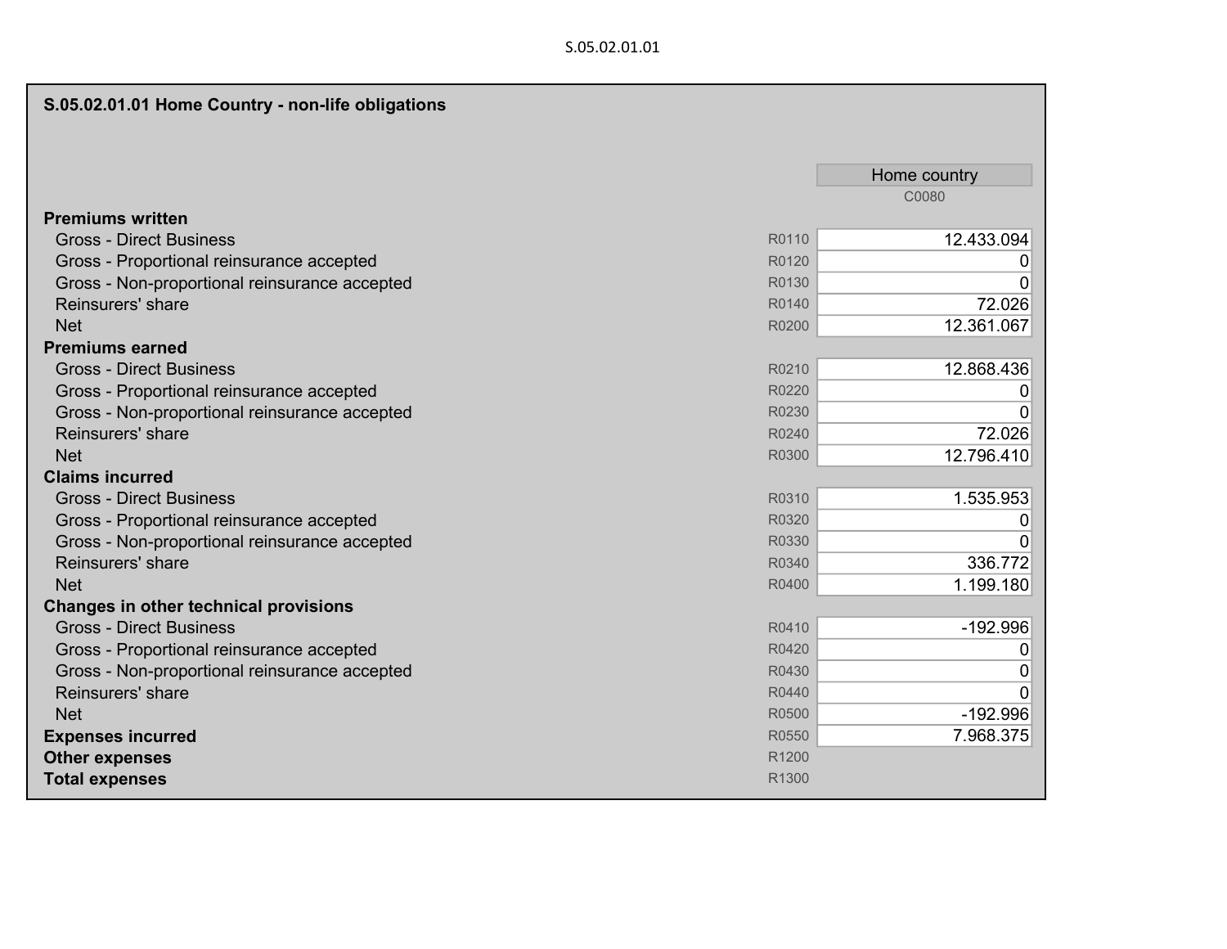## S.05.02.01.01

| S.05.02.01.01 Home Country - non-life obligations |       |              |
|---------------------------------------------------|-------|--------------|
|                                                   |       |              |
|                                                   |       | Home country |
|                                                   |       | C0080        |
| <b>Premiums written</b>                           |       |              |
| <b>Gross - Direct Business</b>                    | R0110 | 12.433.094   |
| Gross - Proportional reinsurance accepted         | R0120 | 0            |
| Gross - Non-proportional reinsurance accepted     | R0130 | 0            |
| Reinsurers' share                                 | R0140 | 72.026       |
| <b>Net</b>                                        | R0200 | 12.361.067   |
| <b>Premiums earned</b>                            |       |              |
| <b>Gross - Direct Business</b>                    | R0210 | 12.868.436   |
| Gross - Proportional reinsurance accepted         | R0220 | 0            |
| Gross - Non-proportional reinsurance accepted     | R0230 | $\Omega$     |
| Reinsurers' share                                 | R0240 | 72.026       |
| <b>Net</b>                                        | R0300 | 12.796.410   |
| <b>Claims incurred</b>                            |       |              |
| <b>Gross - Direct Business</b>                    | R0310 | 1.535.953    |
| Gross - Proportional reinsurance accepted         | R0320 | 0            |
| Gross - Non-proportional reinsurance accepted     | R0330 | 0            |
| Reinsurers' share                                 | R0340 | 336.772      |
| <b>Net</b>                                        | R0400 | 1.199.180    |
| Changes in other technical provisions             |       |              |
| <b>Gross - Direct Business</b>                    | R0410 | $-192.996$   |
| Gross - Proportional reinsurance accepted         | R0420 | $\mathbf 0$  |
| Gross - Non-proportional reinsurance accepted     | R0430 | $\mathbf 0$  |
| Reinsurers' share                                 | R0440 | $\mathbf 0$  |
| <b>Net</b>                                        | R0500 | $-192.996$   |
| <b>Expenses incurred</b>                          | R0550 | 7.968.375    |
| <b>Other expenses</b>                             | R1200 |              |
| <b>Total expenses</b>                             | R1300 |              |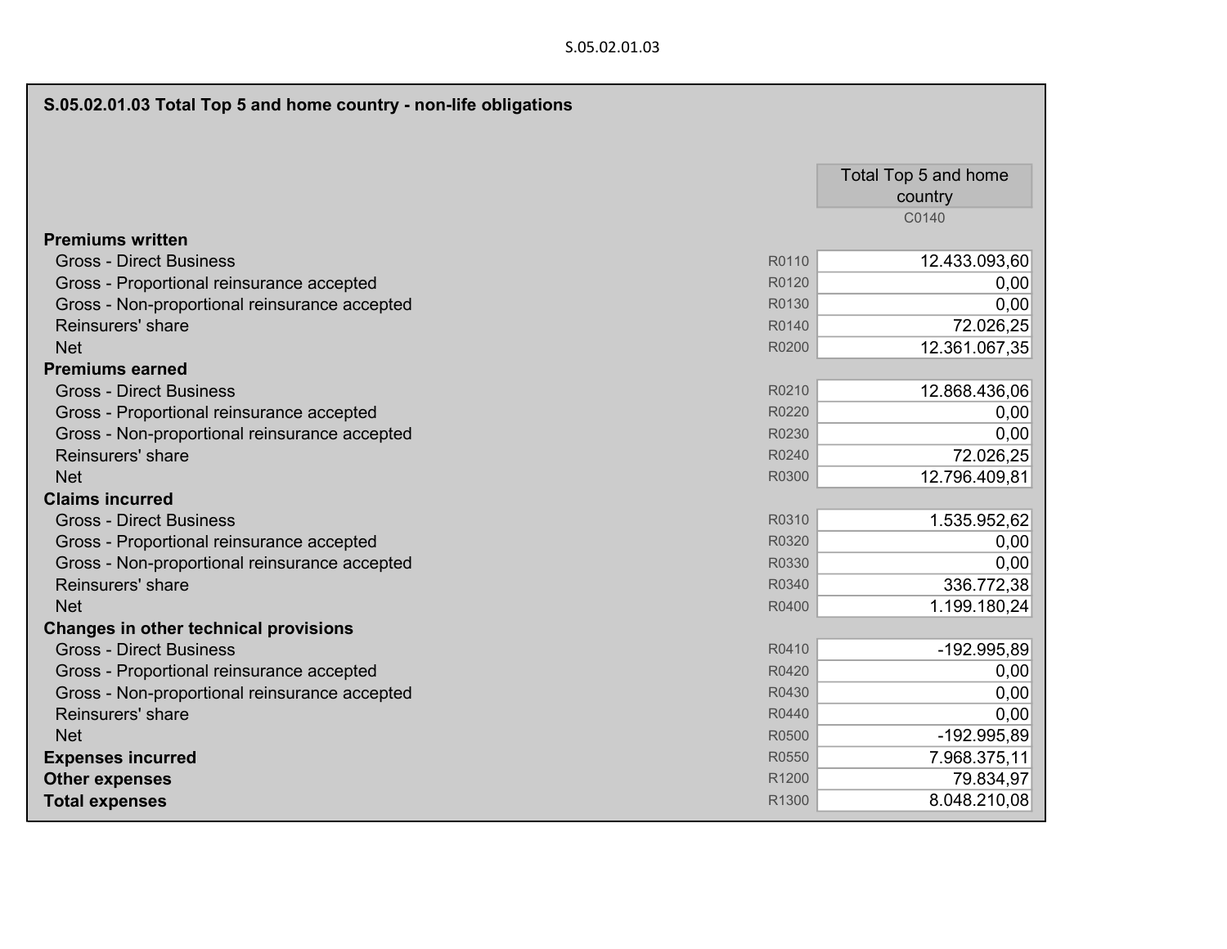| S.05.02.01.03 Total Top 5 and home country - non-life obligations |                                 |
|-------------------------------------------------------------------|---------------------------------|
|                                                                   | Total Top 5 and home<br>country |
|                                                                   | C0140                           |
| <b>Premiums written</b>                                           |                                 |
| <b>Gross - Direct Business</b><br>R0110                           | 12.433.093,60                   |
| Gross - Proportional reinsurance accepted<br>R0120                | 0,00                            |
| Gross - Non-proportional reinsurance accepted<br>R0130            | 0,00                            |
| Reinsurers' share<br>R0140                                        | 72.026,25                       |
| <b>Net</b><br>R0200                                               | 12.361.067,35                   |
| <b>Premiums earned</b>                                            |                                 |
| <b>Gross - Direct Business</b><br>R0210                           | 12.868.436,06                   |
| R0220<br>Gross - Proportional reinsurance accepted                | 0,00                            |
| Gross - Non-proportional reinsurance accepted<br>R0230            | 0,00                            |
| Reinsurers' share<br>R0240                                        | 72.026,25                       |
| <b>Net</b><br>R0300                                               | 12.796.409,81                   |
| <b>Claims incurred</b>                                            |                                 |
| R0310<br><b>Gross - Direct Business</b>                           | 1.535.952,62                    |
| R0320<br>Gross - Proportional reinsurance accepted                | 0,00                            |
| Gross - Non-proportional reinsurance accepted<br>R0330            | 0,00                            |
| Reinsurers' share<br>R0340                                        | 336.772,38                      |
| <b>Net</b><br>R0400                                               | 1.199.180,24                    |
| <b>Changes in other technical provisions</b>                      |                                 |
| <b>Gross - Direct Business</b><br>R0410                           | -192.995,89                     |
| Gross - Proportional reinsurance accepted<br>R0420                | 0,00                            |
| R0430<br>Gross - Non-proportional reinsurance accepted            | 0,00                            |
| Reinsurers' share<br>R0440                                        | 0,00                            |
| <b>Net</b><br>R0500                                               | -192.995,89                     |
| <b>Expenses incurred</b><br>R0550                                 | 7.968.375,11                    |
| R1200<br><b>Other expenses</b>                                    | 79.834,97                       |
| <b>Total expenses</b><br>R1300                                    | 8.048.210,08                    |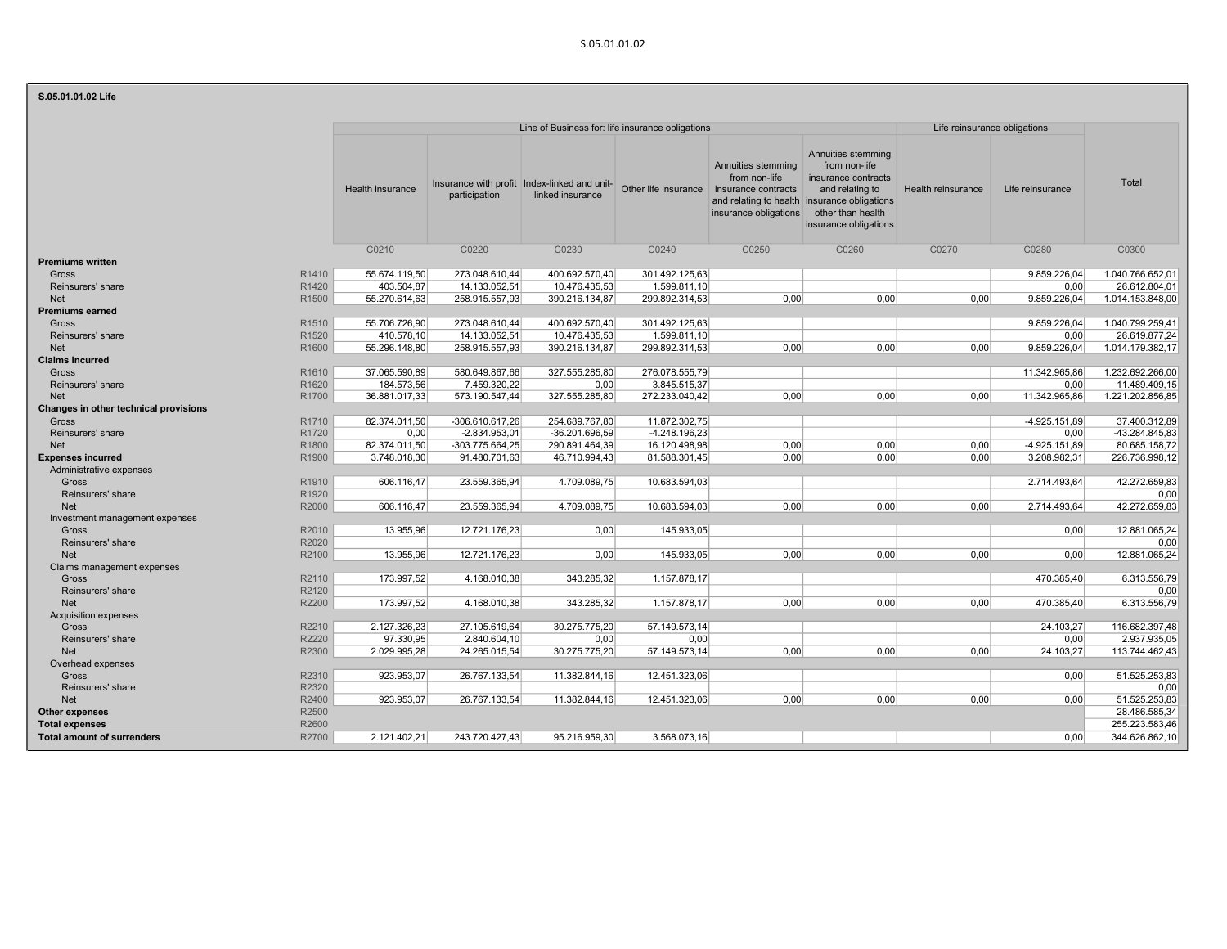### S.05.01.01.02 Life

| 3.03.01.01.02 LIIE                         |                  |                   |                                                                  |                 |                                                                                                          |                                                                                                                                                                             |                              |                  |                  |
|--------------------------------------------|------------------|-------------------|------------------------------------------------------------------|-----------------|----------------------------------------------------------------------------------------------------------|-----------------------------------------------------------------------------------------------------------------------------------------------------------------------------|------------------------------|------------------|------------------|
|                                            |                  |                   | Line of Business for: life insurance obligations                 |                 |                                                                                                          |                                                                                                                                                                             | Life reinsurance obligations |                  |                  |
|                                            | Health insurance | participation     | Insurance with profit Index-linked and unit-<br>linked insurance |                 | Annuities stemming<br>from non-life<br>Other life insurance insurance contracts<br>insurance obligations | Annuities stemming<br>from non-life<br>insurance contracts<br>and relating to<br>and relating to health insurance obligations<br>other than health<br>insurance obligations | Health reinsurance           | Life reinsurance | Total            |
|                                            | C0210            | C0220             | C0230                                                            | C0240           | C0250                                                                                                    | C0260                                                                                                                                                                       | C0270                        | C0280            | C0300            |
| <b>Premiums written</b>                    |                  |                   |                                                                  |                 |                                                                                                          |                                                                                                                                                                             |                              |                  |                  |
| R1410<br>Gross                             | 55.674.119,50    | 273.048.610,44    | 400.692.570,40                                                   | 301.492.125,63  |                                                                                                          |                                                                                                                                                                             |                              | 9.859.226,04     | 1.040.766.652,01 |
| R1420<br>Reinsurers' share                 | 403.504,87       | 14.133.052,51     | 10.476.435,53                                                    | 1.599.811,10    |                                                                                                          |                                                                                                                                                                             |                              | 0.00             | 26.612.804.01    |
| R <sub>1500</sub><br><b>Net</b>            | 55.270.614,63    | 258.915.557,93    | 390.216.134,87                                                   | 299.892.314,53  | 0,00                                                                                                     | 0,00                                                                                                                                                                        | 0,00                         | 9.859.226,04     | 1.014.153.848,00 |
| <b>Premiums earned</b>                     |                  |                   |                                                                  |                 |                                                                                                          |                                                                                                                                                                             |                              |                  |                  |
| R <sub>1510</sub><br>Gross                 | 55.706.726,90    | 273.048.610,44    | 400.692.570,40                                                   | 301.492.125,63  |                                                                                                          |                                                                                                                                                                             |                              | 9.859.226,04     | 1.040.799.259.41 |
| Reinsurers' share<br>R <sub>1520</sub>     | 410.578,10       | 14.133.052,51     | 10.476.435,53                                                    | 1.599.811,10    |                                                                                                          |                                                                                                                                                                             |                              | 0,00             | 26.619.877,24    |
| R1600<br><b>Net</b>                        | 55.296.148,80    | 258.915.557,93    | 390.216.134,87                                                   | 299.892.314,53  | 0.00                                                                                                     | 0.00                                                                                                                                                                        | 0,00                         | 9.859.226,04     | 1.014.179.382.17 |
| <b>Claims incurred</b>                     |                  |                   |                                                                  |                 |                                                                                                          |                                                                                                                                                                             |                              |                  |                  |
| R1610<br>Gross                             | 37.065.590,89    | 580.649.867,66    | 327.555.285,80                                                   | 276.078.555,79  |                                                                                                          |                                                                                                                                                                             |                              | 11.342.965,86    | 1.232.692.266,00 |
| Reinsurers' share<br>R1620                 | 184.573,56       | 7.459.320.22      | 0.00                                                             | 3.845.515.37    |                                                                                                          |                                                                                                                                                                             |                              | 0.00             | 11.489.409.15    |
| R1700<br><b>Net</b>                        | 36.881.017,33    | 573.190.547,44    | 327.555.285,80                                                   | 272.233.040,42  | 0,00                                                                                                     | 0,00                                                                                                                                                                        | 0,00                         | 11.342.965,86    | 1.221.202.856,85 |
| Changes in other technical provisions      |                  |                   |                                                                  |                 |                                                                                                          |                                                                                                                                                                             |                              |                  |                  |
| R1710<br>Gross                             | 82.374.011.50    | $-306.610.617,26$ | 254.689.767,80                                                   | 11.872.302,75   |                                                                                                          |                                                                                                                                                                             |                              | $-4.925.151.89$  | 37.400.312.89    |
| R1720<br>Reinsurers' share                 | 0,00             | $-2.834.953.01$   | $-36.201.696,59$                                                 | $-4.248.196,23$ |                                                                                                          |                                                                                                                                                                             |                              | 0,00             | -43.284.845.83   |
| R1800<br><b>Net</b>                        | 82.374.011,50    | $-303.775.664.25$ | 290.891.464,39                                                   | 16.120.498,98   | 0,00                                                                                                     | 0,00                                                                                                                                                                        | 0,00                         | $-4.925.151.89$  | 80.685.158,72    |
| R1900<br><b>Expenses incurred</b>          | 3.748.018,30     | 91.480.701,63     | 46.710.994,43                                                    | 81.588.301,45   | 0.00                                                                                                     | 0.00                                                                                                                                                                        | 0,00                         | 3.208.982,31     | 226.736.998,12   |
| Administrative expenses                    |                  |                   |                                                                  |                 |                                                                                                          |                                                                                                                                                                             |                              |                  |                  |
| R1910<br>Gross                             | 606.116,47       | 23.559.365,94     | 4.709.089,75                                                     | 10.683.594,03   |                                                                                                          |                                                                                                                                                                             |                              | 2.714.493,64     | 42.272.659,83    |
| R1920<br>Reinsurers' share                 |                  |                   |                                                                  |                 |                                                                                                          |                                                                                                                                                                             |                              |                  | 0.00             |
| R2000<br><b>Net</b>                        | 606.116,47       | 23.559.365,94     | 4.709.089,75                                                     | 10.683.594,03   | 0,00                                                                                                     | 0,00                                                                                                                                                                        | 0,00                         | 2.714.493,64     | 42.272.659,83    |
|                                            |                  |                   |                                                                  |                 |                                                                                                          |                                                                                                                                                                             |                              |                  |                  |
| Investment management expenses             |                  |                   |                                                                  |                 |                                                                                                          |                                                                                                                                                                             |                              |                  |                  |
| R2010<br>Gross                             | 13.955.96        | 12.721.176,23     | 0.00                                                             | 145.933.05      |                                                                                                          |                                                                                                                                                                             |                              | 0.00             | 12.881.065.24    |
| R2020<br>Reinsurers' share                 |                  |                   |                                                                  |                 |                                                                                                          |                                                                                                                                                                             |                              |                  | 0,00             |
| <b>Net</b><br>R2100                        | 13.955,96        | 12.721.176,23     | 0,00                                                             | 145.933,05      | 0,00                                                                                                     | 0,00                                                                                                                                                                        | 0,00                         | 0.00             | 12.881.065,24    |
| Claims management expenses                 |                  |                   |                                                                  |                 |                                                                                                          |                                                                                                                                                                             |                              |                  |                  |
| R2110<br>Gross                             | 173.997,52       | 4.168.010,38      | 343.285,32                                                       | 1.157.878,17    |                                                                                                          |                                                                                                                                                                             |                              | 470.385.40       | 6.313.556.79     |
| R2120<br>Reinsurers' share                 |                  |                   |                                                                  |                 |                                                                                                          |                                                                                                                                                                             |                              |                  | 0,00             |
| R2200<br><b>Net</b>                        | 173.997,52       | 4.168.010.38      | 343.285,32                                                       | 1.157.878.17    | 0.00                                                                                                     | 0.00                                                                                                                                                                        | 0.00                         | 470.385.40       | 6.313.556.79     |
| <b>Acquisition expenses</b>                |                  |                   |                                                                  |                 |                                                                                                          |                                                                                                                                                                             |                              |                  |                  |
| Gross<br>R2210                             | 2.127.326,23     | 27.105.619,64     | 30.275.775,20                                                    | 57.149.573,14   |                                                                                                          |                                                                                                                                                                             |                              | 24.103,27        | 116.682.397,48   |
| Reinsurers' share<br>R2220                 | 97.330,95        | 2.840.604,10      | 0,00                                                             | 0.00            |                                                                                                          |                                                                                                                                                                             |                              | 0.00             | 2.937.935.05     |
| R2300<br><b>Net</b>                        | 2.029.995,28     | 24.265.015,54     | 30.275.775,20                                                    | 57.149.573,14   | 0,00                                                                                                     | 0,00                                                                                                                                                                        | 0,00                         | 24.103,27        | 113.744.462.43   |
| Overhead expenses                          |                  |                   |                                                                  |                 |                                                                                                          |                                                                                                                                                                             |                              |                  |                  |
| R2310<br>Gross                             | 923.953.07       | 26.767.133,54     | 11.382.844.16                                                    | 12.451.323,06   |                                                                                                          |                                                                                                                                                                             |                              | 0.00             | 51.525.253,83    |
| R2320<br>Reinsurers' share                 |                  |                   |                                                                  |                 |                                                                                                          |                                                                                                                                                                             |                              |                  | 0,00             |
| R2400<br><b>Net</b>                        | 923.953,07       | 26.767.133,54     | 11.382.844,16                                                    | 12.451.323,06   | 0,00                                                                                                     | 0,00                                                                                                                                                                        | 0,00                         | 0,00             | 51.525.253,83    |
| R2500<br>Other expenses                    |                  |                   |                                                                  |                 |                                                                                                          |                                                                                                                                                                             |                              |                  | 28.486.585.34    |
| <b>Total expenses</b><br>R2600             |                  |                   |                                                                  |                 |                                                                                                          |                                                                                                                                                                             |                              |                  | 255.223.583,46   |
| R2700<br><b>Total amount of surrenders</b> | 2.121.402,21     | 243.720.427,43    | 95.216.959,30                                                    | 3.568.073,16    |                                                                                                          |                                                                                                                                                                             |                              | 0,00             | 344.626.862,10   |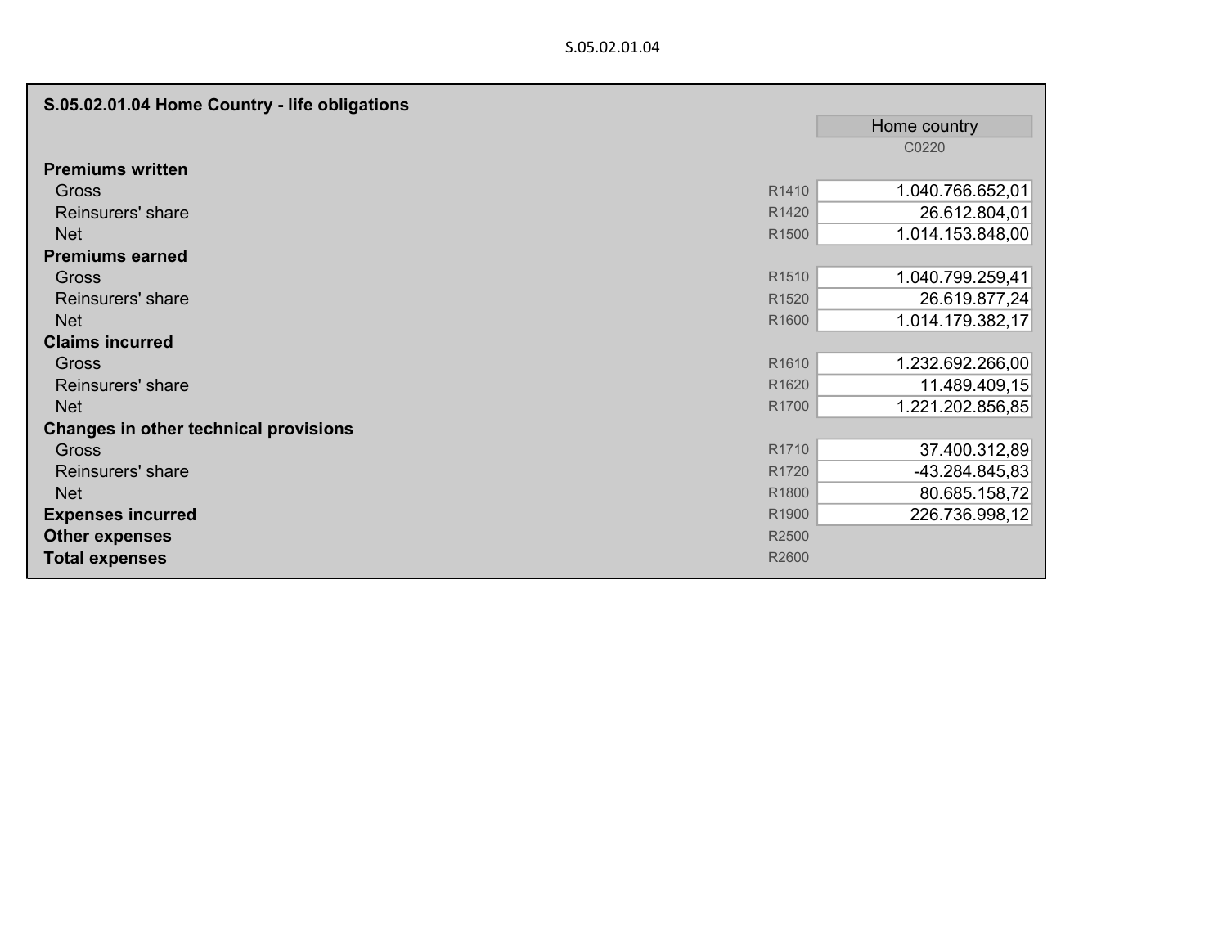| S.05.02.01.04 Home Country - life obligations |                   |                  |
|-----------------------------------------------|-------------------|------------------|
|                                               |                   | Home country     |
|                                               |                   | C0220            |
| <b>Premiums written</b>                       |                   |                  |
| <b>Gross</b>                                  | R1410             | 1.040.766.652,01 |
| Reinsurers' share                             | R1420             | 26.612.804,01    |
| <b>Net</b>                                    | R <sub>1500</sub> | 1.014.153.848,00 |
| <b>Premiums earned</b>                        |                   |                  |
| <b>Gross</b>                                  | R <sub>1510</sub> | 1.040.799.259,41 |
| Reinsurers' share                             | R <sub>1520</sub> | 26.619.877,24    |
| <b>Net</b>                                    | R1600             | 1.014.179.382,17 |
| <b>Claims incurred</b>                        |                   |                  |
| <b>Gross</b>                                  | R1610             | 1.232.692.266,00 |
| Reinsurers' share                             | R <sub>1620</sub> | 11.489.409,15    |
| <b>Net</b>                                    | R <sub>1700</sub> | 1.221.202.856,85 |
| Changes in other technical provisions         |                   |                  |
| <b>Gross</b>                                  | R1710             | 37.400.312,89    |
| Reinsurers' share                             | R <sub>1720</sub> | $-43.284.845,83$ |
| <b>Net</b>                                    | R1800             | 80.685.158,72    |
| <b>Expenses incurred</b>                      | R1900             | 226.736.998,12   |
| <b>Other expenses</b>                         | R2500             |                  |
| <b>Total expenses</b>                         | R2600             |                  |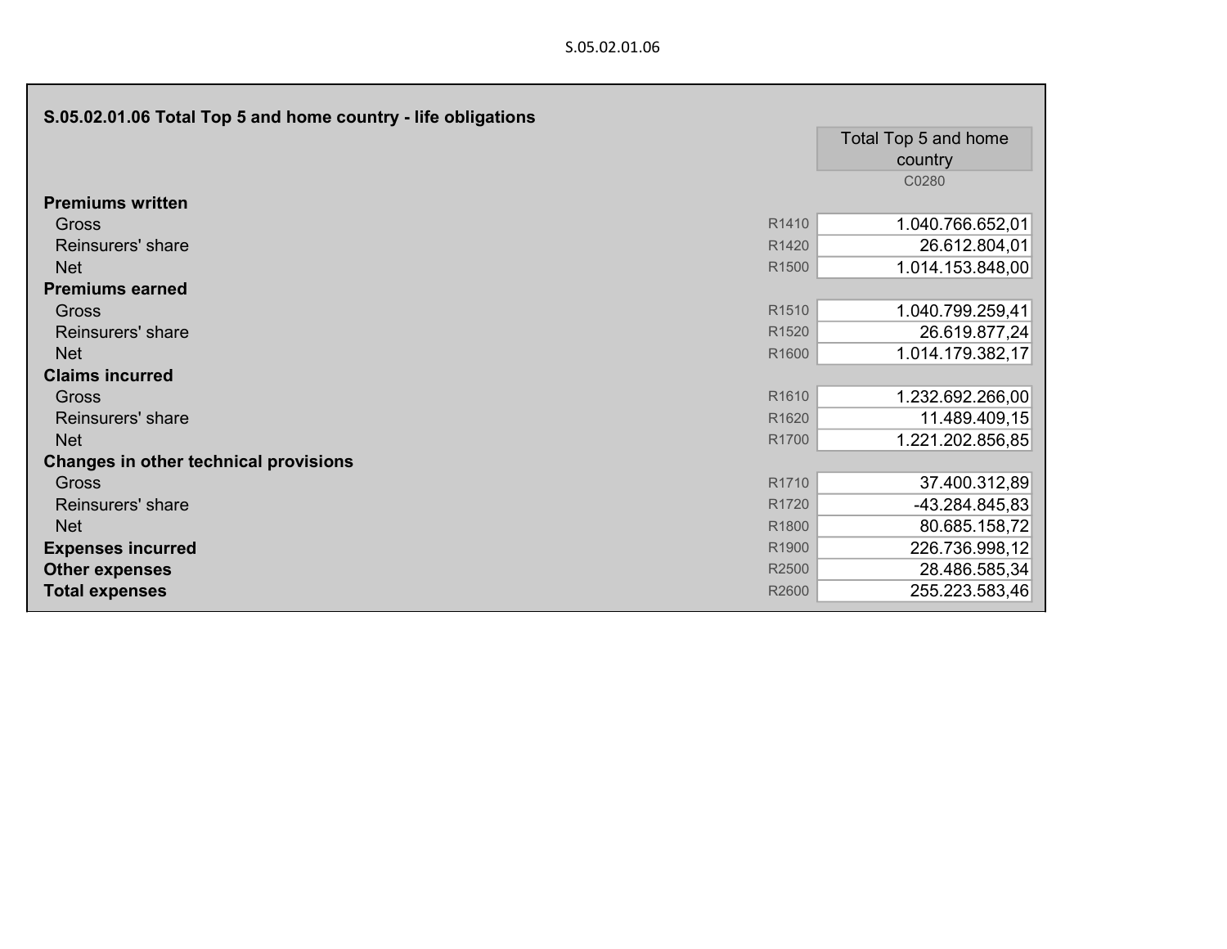| S.05.02.01.06 Total Top 5 and home country - life obligations |                   |                      |
|---------------------------------------------------------------|-------------------|----------------------|
|                                                               |                   | Total Top 5 and home |
|                                                               |                   | country              |
|                                                               |                   | C0280                |
| <b>Premiums written</b>                                       |                   |                      |
| Gross                                                         | R1410             | 1.040.766.652,01     |
| Reinsurers' share                                             | R1420             | 26.612.804,01        |
| <b>Net</b>                                                    | R1500             | 1.014.153.848,00     |
| <b>Premiums earned</b>                                        |                   |                      |
| Gross                                                         | R <sub>1510</sub> | 1.040.799.259,41     |
| Reinsurers' share                                             | R1520             | 26.619.877,24        |
| <b>Net</b>                                                    | R1600             | 1.014.179.382,17     |
| <b>Claims incurred</b>                                        |                   |                      |
| Gross                                                         | R1610             | 1.232.692.266,00     |
| Reinsurers' share                                             | R1620             | 11.489.409,15        |
| <b>Net</b>                                                    | R1700             | 1.221.202.856,85     |
| <b>Changes in other technical provisions</b>                  |                   |                      |
| Gross                                                         | R1710             | 37.400.312,89        |
| Reinsurers' share                                             | R1720             | $-43.284.845,83$     |
| <b>Net</b>                                                    | R1800             | 80.685.158,72        |
| <b>Expenses incurred</b>                                      | R1900             | 226.736.998,12       |
| <b>Other expenses</b>                                         | R2500             | 28.486.585,34        |
| <b>Total expenses</b>                                         | R2600             | 255.223.583,46       |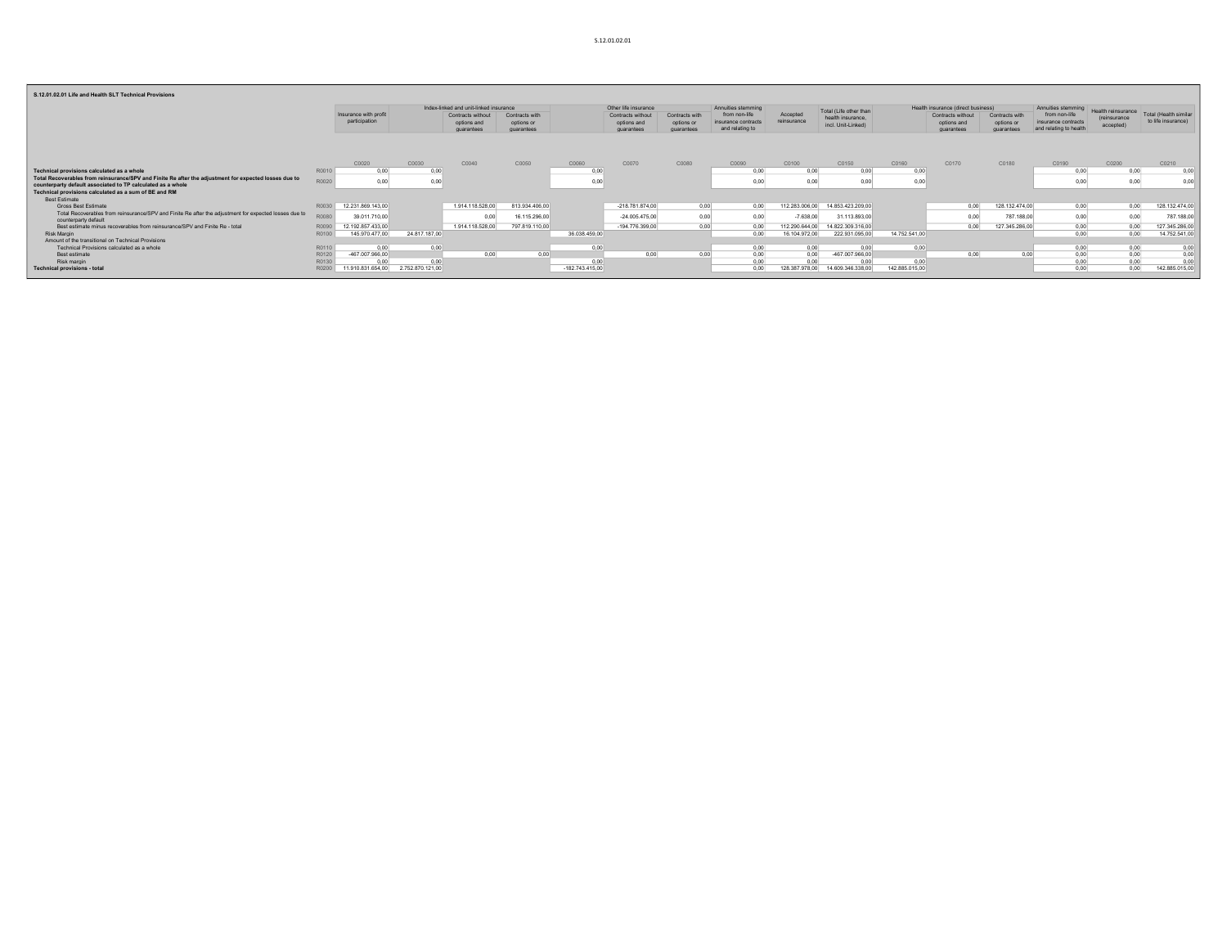#### S.12.01.02.01 Life and Health SLT Technical Prov

| 3.14.01.04.01 LIIC GIIU NCGIUI SET TCCHIIICGI FIOVISIONS                                                                      |             |                                        |               |                                                |                                            |                   |                                                |                                            |                                                         |                         |                                         |                |                                                |                                            |                                                                |                                   |                                                                |
|-------------------------------------------------------------------------------------------------------------------------------|-------------|----------------------------------------|---------------|------------------------------------------------|--------------------------------------------|-------------------|------------------------------------------------|--------------------------------------------|---------------------------------------------------------|-------------------------|-----------------------------------------|----------------|------------------------------------------------|--------------------------------------------|----------------------------------------------------------------|-----------------------------------|----------------------------------------------------------------|
|                                                                                                                               |             |                                        |               | Index-linked and unit-linked insurance         |                                            |                   | Other life insurance                           |                                            | Annuities stemming                                      |                         | Total (Life other than                  |                | Health insurance (direct business)             |                                            | Annuities stemming                                             |                                   |                                                                |
|                                                                                                                               |             | Insurance with profit<br>participation |               | Contracts without<br>options and<br>quarantees | Contracts with<br>options or<br>quarantees |                   | Contracts without<br>options and<br>quarantees | Contracts with<br>options or<br>quarantees | from non-life<br>insurance contracts<br>and relating to | Accepted<br>reinsurance | health insurance.<br>incl. Unit-Linked) |                | Contracts without<br>options and<br>quarantees | Contracts with<br>options or<br>quarantees | from non-life<br>insurance contracts<br>and relating to health | <i>(reinsurance)</i><br>accepted) | Health reinsurance Total (Health similar<br>to life insurance) |
|                                                                                                                               |             | C0020                                  | C0030         | C0040                                          | C0050                                      | C0060             | C0070                                          | C0080                                      | C0090                                                   | C0100                   | C0150                                   | C0160          | C0170                                          | C0180                                      | C0190                                                          | C0200                             | C0210                                                          |
| Technical provisions calculated as a whole                                                                                    | R0010       | 0.00                                   | 0.00          |                                                |                                            | 0.00              |                                                |                                            | 0,00                                                    | 0.00                    | 0.00                                    | 0.00           |                                                |                                            | 0.00                                                           | 0.00                              | 0.00                                                           |
| Total Recoverables from reinsurance/SPV and Finite Re after the adjustment for expected losses due to                         |             |                                        |               |                                                |                                            |                   |                                                |                                            |                                                         |                         |                                         |                |                                                |                                            |                                                                |                                   |                                                                |
| counterparty default associated to TP calculated as a whole                                                                   | R0020       | 0,00                                   | 0.00          |                                                |                                            | 0,00              |                                                |                                            | 0,00                                                    | 0.00                    | 0,00                                    | 0.00           |                                                |                                            |                                                                | 0,00                              | 0,00                                                           |
| Technical provisions calculated as a sum of BE and RM                                                                         |             |                                        |               |                                                |                                            |                   |                                                |                                            |                                                         |                         |                                         |                |                                                |                                            |                                                                |                                   |                                                                |
| <b>Best Estimate</b>                                                                                                          |             |                                        |               |                                                |                                            |                   |                                                |                                            |                                                         |                         |                                         |                |                                                |                                            |                                                                |                                   |                                                                |
| Gross Best Estimate                                                                                                           | R0030       | 12.231.869.143,00                      |               | 1.914.118.528.00                               | 813.934.406,00                             |                   | $-218.781.874,00$                              | 0.00                                       | 0,00                                                    | 112.283.006,00          | 14.853.423.209,00                       |                | 0,00                                           | 128.132.474,00                             | 0,00                                                           | 0.00                              | 128.132.474,00                                                 |
| Total Recoverables from reinsurance/SPV and Finite Re after the adjustment for expected losses due to<br>counterparty default | <b>R008</b> | 39.011.710.00                          |               | 0.00                                           | 16.115.296.00                              |                   | $-24.005.475.00$                               | 0.00                                       | 0.00                                                    | $-7.638.00$             | 31.113.893.00                           |                | 0.00                                           | 787,188.00                                 | 0.001                                                          | 0.00                              | 787.188.00                                                     |
| Best estimate minus recoverables from reinsurance/SPV and Finite Re - total                                                   | R009        | 12.192.857.433.00                      |               | 1.914.118.528.00                               | 797.819.110.00                             |                   | $-194.776.399.00$                              | 0.00                                       | 0.00                                                    | 112.290.644.00          | 14.822.309.316.00                       |                | 0.00                                           | 127.345.286.00                             | 0,00                                                           | 0.00                              | 127.345.286,00                                                 |
| <b>Risk Margin</b>                                                                                                            | R0100       | 145.970.477,00                         | 24.817.187,00 |                                                |                                            | 36.038.459,00     |                                                |                                            | 0.00                                                    | 16.104.972,00           | 222.931.095,00                          | 14.752.541,00  |                                                |                                            | 0.00                                                           | 0.00                              | 14.752.541,00                                                  |
| Amount of the transitional on Technical Provisions                                                                            |             |                                        |               |                                                |                                            |                   |                                                |                                            |                                                         |                         |                                         |                |                                                |                                            |                                                                |                                   |                                                                |
| Technical Provisions calculated as a whole                                                                                    | R0110       | 0.00                                   | 0.00          |                                                |                                            | 0.00              |                                                |                                            | 0,00                                                    | 0,00                    | 0.00                                    | 0.00           |                                                |                                            | 0,00                                                           | 0,00                              | 0,00                                                           |
| Best estimate                                                                                                                 | R0120       | -467.007.966,00                        |               | 0.00                                           | 0.00                                       |                   | 0.00                                           | n ni                                       | 0,00                                                    | 0,00                    | -467.007.966,00                         |                | 0.00                                           | 0.00                                       | 0,00                                                           | 0,00                              | 0,00                                                           |
| Risk margin                                                                                                                   | R0130       | 0.00                                   | 0.00          |                                                |                                            | 0.00              |                                                |                                            | 0,00                                                    |                         | 0.00                                    | 0.00           |                                                |                                            |                                                                | 0.00                              | 0.00                                                           |
| <b>Technical provisions - total</b>                                                                                           | R020        | 11.910.831.654,00 2.752.870.121,00     |               |                                                |                                            | $-182.743.415.00$ |                                                |                                            | 0.00                                                    | 128,387,978.00          | 14.609.346.338.00                       | 142.885.015,00 |                                                |                                            | 0.00                                                           | n nn                              | 142.885.015,00                                                 |
|                                                                                                                               |             |                                        |               |                                                |                                            |                   |                                                |                                            |                                                         |                         |                                         |                |                                                |                                            |                                                                |                                   |                                                                |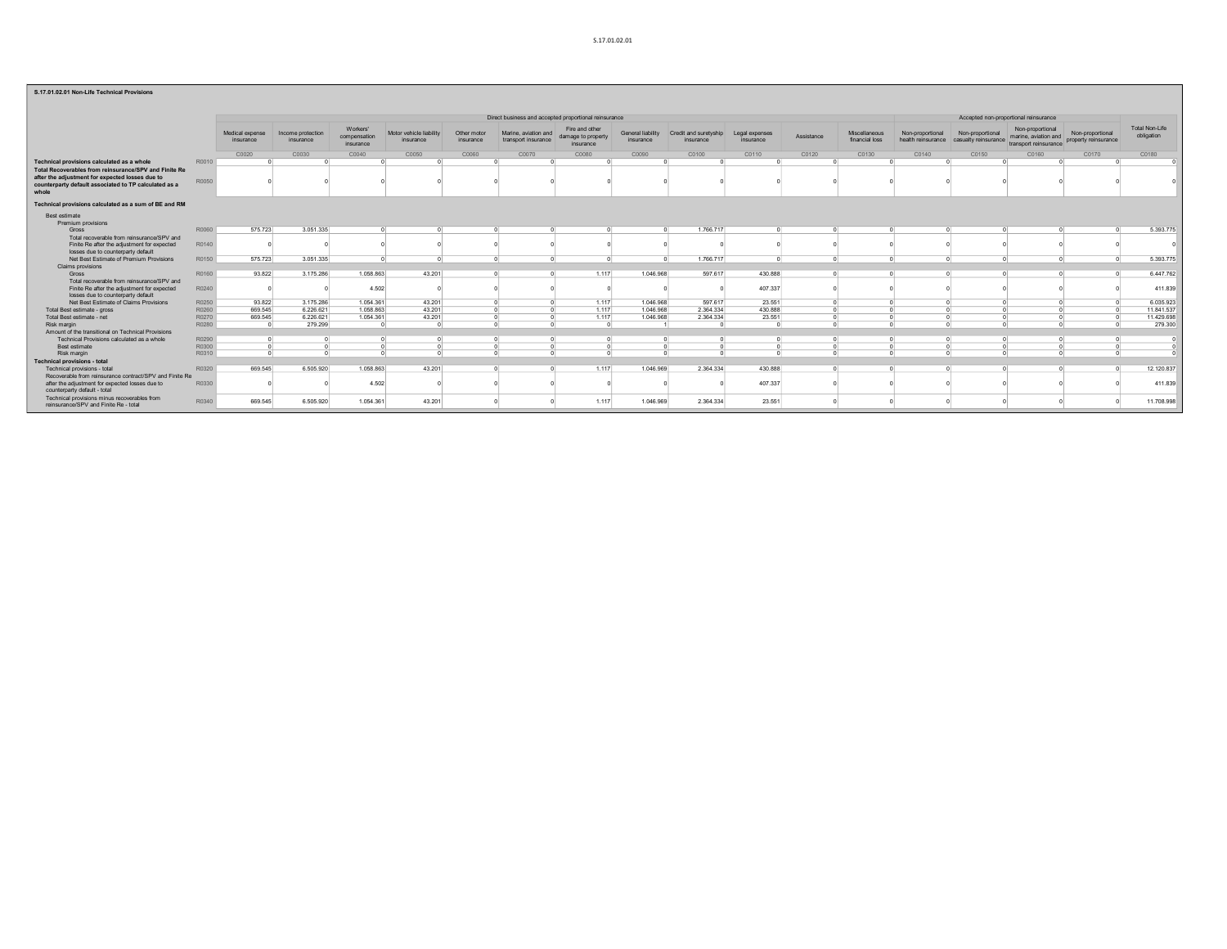#### S.17.01.02.01

|                                                                                                                   |       |                              |                                |                                       |                                      |                          | Direct business and accepted proportional reinsurance |                                                   |                                       |                                    |                             |            |                                 |                                        | Accepted non-proportional reinsurance    |                                                                   |                                          |                                     |
|-------------------------------------------------------------------------------------------------------------------|-------|------------------------------|--------------------------------|---------------------------------------|--------------------------------------|--------------------------|-------------------------------------------------------|---------------------------------------------------|---------------------------------------|------------------------------------|-----------------------------|------------|---------------------------------|----------------------------------------|------------------------------------------|-------------------------------------------------------------------|------------------------------------------|-------------------------------------|
|                                                                                                                   |       | Medical expense<br>insurance | Income protection<br>insurance | Workers'<br>compensation<br>insurance | Motor vehicle liability<br>insurance | Other motor<br>insurance | Marine, aviation and<br>transport insurance           | Fire and other<br>damage to property<br>insurance | <b>General liability</b><br>insurance | Credit and suretyship<br>insurance | Legal expenses<br>insurance | Assistance | Miscellaneous<br>financial loss | Non-proportional<br>health reinsurance | Non-proportional<br>casualty reinsurance | Non-proportional<br>marine, aviation and<br>transport reinsurance | Non-proportional<br>property reinsurance | <b>Total Non-Life</b><br>obligation |
|                                                                                                                   |       | C0020                        | C0030                          | C0040                                 | C0050                                | C0060                    | C0070                                                 | C0080                                             | C0090                                 | C0100                              | C0110                       | C0120      | C0130                           | C0140                                  | C0150                                    | C0160                                                             | C0170                                    | C0180                               |
| Technical provisions calculated as a whole                                                                        | R0010 |                              |                                |                                       |                                      |                          |                                                       |                                                   |                                       |                                    |                             |            |                                 |                                        |                                          |                                                                   |                                          |                                     |
| Total Recoverables from reinsurance/SPV and Finite Re                                                             |       |                              |                                |                                       |                                      |                          |                                                       |                                                   |                                       |                                    |                             |            |                                 |                                        |                                          |                                                                   |                                          |                                     |
| after the adjustment for expected losses due to<br>counterparty default associated to TP calculated as a<br>whole | R0050 |                              |                                |                                       |                                      |                          |                                                       |                                                   |                                       |                                    |                             |            |                                 |                                        |                                          |                                                                   |                                          |                                     |
| Technical provisions calculated as a sum of BE and RM                                                             |       |                              |                                |                                       |                                      |                          |                                                       |                                                   |                                       |                                    |                             |            |                                 |                                        |                                          |                                                                   |                                          |                                     |
| Best estimate<br>Premium provisions                                                                               |       |                              |                                |                                       |                                      |                          |                                                       |                                                   |                                       |                                    |                             |            |                                 |                                        |                                          |                                                                   |                                          |                                     |
| Gross                                                                                                             | R0060 | 575.723                      | 3.051.335                      |                                       |                                      |                          |                                                       |                                                   |                                       | 1.766.717                          |                             |            |                                 |                                        |                                          |                                                                   |                                          | 5.393.775                           |
| Total recoverable from reinsurance/SPV and<br>Finite Re after the adjustment for expected                         | R0140 |                              |                                |                                       |                                      |                          |                                                       |                                                   |                                       |                                    |                             |            |                                 |                                        |                                          |                                                                   |                                          |                                     |
| losses due to counterparty default                                                                                |       |                              |                                |                                       |                                      |                          |                                                       |                                                   |                                       |                                    |                             |            |                                 |                                        |                                          |                                                                   |                                          |                                     |
| Net Best Estimate of Premium Provisions                                                                           | R0150 | 575,723                      | 3.051.335                      |                                       |                                      |                          |                                                       |                                                   |                                       | 1.766.717                          | $\sqrt{2}$                  | $\sqrt{2}$ |                                 |                                        |                                          |                                                                   |                                          | 5.393.775                           |
| <b>Claims provisions</b>                                                                                          |       |                              |                                |                                       |                                      |                          |                                                       |                                                   |                                       |                                    |                             |            |                                 |                                        |                                          |                                                                   |                                          |                                     |
| Gross                                                                                                             | R0160 | 93.822                       | 3.175.286                      | 1.058.863                             | 43.201                               |                          | $\sim$                                                | 1.117                                             | 1.046.968                             | 597.617                            | 430.888                     | $\sqrt{2}$ |                                 |                                        |                                          |                                                                   |                                          | 6.447.762                           |
| Total recoverable from reinsurance/SPV and<br>Finite Re after the adjustment for expected                         | R0240 |                              |                                | 4.502                                 |                                      |                          |                                                       |                                                   |                                       |                                    | 407.337                     |            |                                 |                                        |                                          |                                                                   |                                          | 411.839                             |
| losses due to counterparty default                                                                                |       |                              |                                |                                       |                                      |                          |                                                       |                                                   |                                       |                                    |                             |            |                                 |                                        |                                          |                                                                   |                                          |                                     |
| Net Best Estimate of Claims Provisions                                                                            | R0250 | 93.822                       | 3.175.286                      | 1.054.361                             | 43.201                               |                          |                                                       | 1.117                                             | 1.046.968                             | 597.617                            | 23.551                      |            |                                 |                                        |                                          |                                                                   |                                          | 6.035.923                           |
| Total Best estimate - gross                                                                                       | R0260 | 669,545                      | 6.226.621                      | 1.058.863                             | 43.201                               |                          |                                                       | 1.117                                             | 1.046.968                             | 2.364.334                          | 430.888                     | $\sim$     |                                 |                                        |                                          |                                                                   |                                          | 11.841.537                          |
| Total Best estimate - net                                                                                         | R0270 | 669.545                      | 6.226.621                      | 1.054.361                             | 43.201                               |                          |                                                       | 1.117                                             | 1.046.968                             | 2.364.334                          | 23.551                      |            |                                 |                                        |                                          |                                                                   |                                          | 11.429.698                          |
| Risk margin                                                                                                       | R0280 |                              | 279.299                        |                                       |                                      |                          | $\sim$                                                | $\sim$                                            |                                       |                                    |                             | $\sim$     |                                 |                                        |                                          |                                                                   |                                          | 279,300                             |
| Amount of the transitional on Technical Provisions                                                                |       |                              |                                |                                       |                                      |                          |                                                       |                                                   |                                       |                                    |                             |            |                                 |                                        |                                          |                                                                   |                                          |                                     |
| Technical Provisions calculated as a whole                                                                        | R0290 |                              |                                |                                       |                                      |                          |                                                       |                                                   |                                       |                                    |                             |            |                                 |                                        |                                          |                                                                   |                                          |                                     |
| <b>Best estimate</b>                                                                                              | R0300 |                              |                                |                                       |                                      |                          |                                                       |                                                   |                                       |                                    |                             | $\sqrt{2}$ |                                 |                                        |                                          |                                                                   |                                          |                                     |
| Risk margin                                                                                                       | R0310 |                              |                                |                                       |                                      |                          |                                                       |                                                   |                                       |                                    |                             |            |                                 |                                        |                                          |                                                                   |                                          |                                     |
| <b>Technical provisions - total</b>                                                                               |       |                              |                                |                                       |                                      |                          |                                                       |                                                   |                                       |                                    |                             |            |                                 |                                        |                                          |                                                                   |                                          |                                     |
| Technical provisions - total                                                                                      | R0320 | 669.545                      | 6,505.920                      | 1.058.863                             | 43.201                               |                          | $\Omega$                                              | 1.117                                             | 1.046.969                             | 2.364.334                          | 430,888                     | $\sqrt{2}$ |                                 |                                        |                                          |                                                                   |                                          | 12.120.837                          |
| Recoverable from reinsurance contract/SPV and Finite Re<br>after the adjustment for expected losses due to        | R0330 |                              |                                | 4.502                                 |                                      |                          |                                                       |                                                   |                                       |                                    | 407.337                     |            |                                 |                                        |                                          |                                                                   |                                          | 411.839                             |
| counterparty default - total                                                                                      |       |                              |                                |                                       |                                      |                          |                                                       |                                                   |                                       |                                    |                             |            |                                 |                                        |                                          |                                                                   |                                          |                                     |
| Technical provisions minus recoverables from<br>reinsurance/SPV and Finite Re - total                             | R0340 | 669.545                      | 6.505.920                      | 1.054.361                             | 43.201                               |                          |                                                       | 1.117                                             | 1.046.969                             | 2.364.334                          | 23.551                      |            |                                 |                                        |                                          |                                                                   |                                          | 11.708.998                          |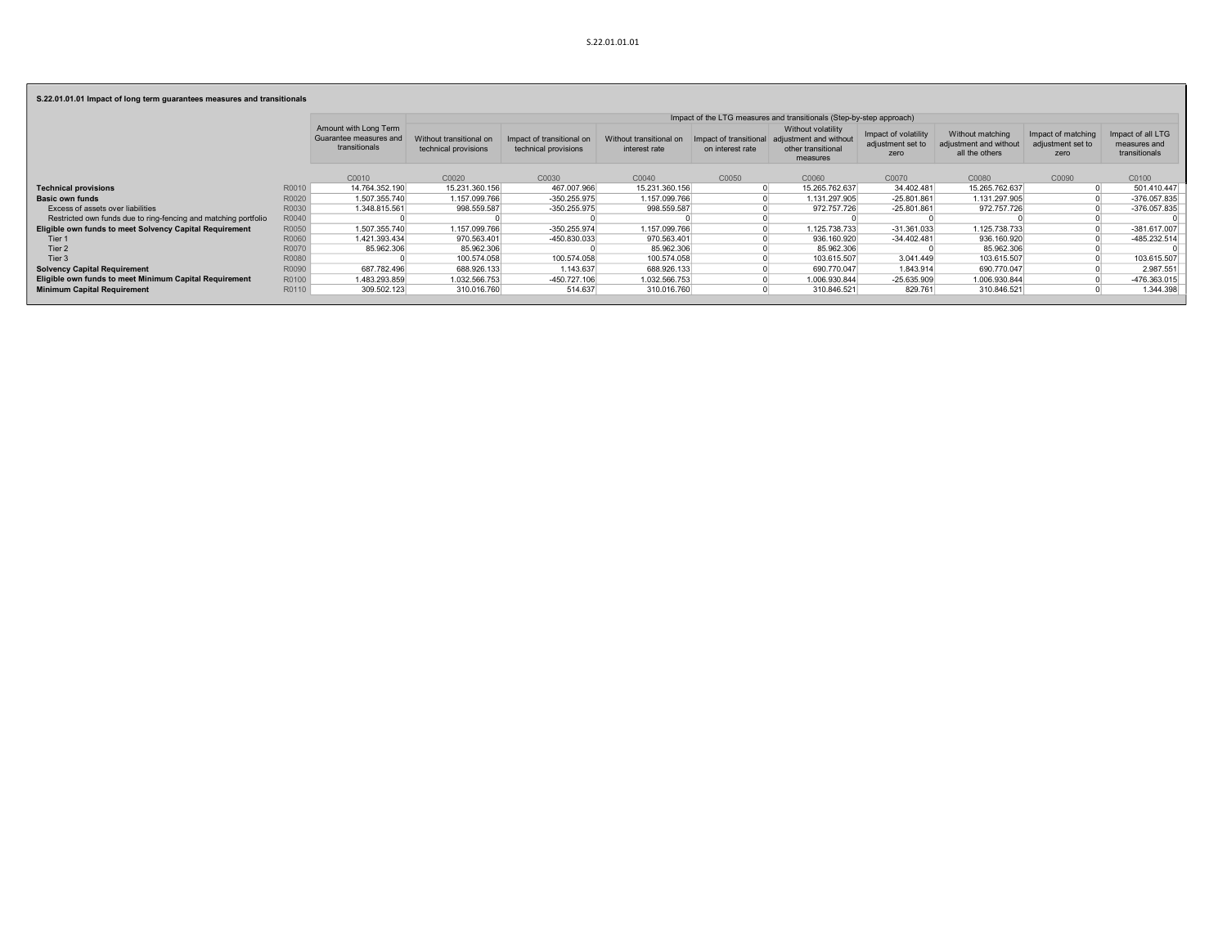S.22.01.01.01 Impact of long term guarantees measures and transitionals

|                                                                 |       |                                                                  |                                                 |                                                   |                                          |                                            | Impact of the LTG measures and transitionals (Step-by-step approach)           |                                                   |                                                              |                                                 |                                                    |
|-----------------------------------------------------------------|-------|------------------------------------------------------------------|-------------------------------------------------|---------------------------------------------------|------------------------------------------|--------------------------------------------|--------------------------------------------------------------------------------|---------------------------------------------------|--------------------------------------------------------------|-------------------------------------------------|----------------------------------------------------|
|                                                                 |       | Amount with Long Term<br>Guarantee measures and<br>transitionals | Without transitional on<br>technical provisions | Impact of transitional on<br>technical provisions | Without transitional on<br>interest rate | Impact of transitional<br>on interest rate | Without volatility<br>adjustment and without<br>other transitional<br>measures | Impact of volatility<br>adjustment set to<br>zero | Without matching<br>adjustment and without<br>all the others | Impact of matching<br>adjustment set to<br>zero | Impact of all LTG<br>measures and<br>transitionals |
|                                                                 |       | C0010                                                            | C0020                                           | C0030                                             | C0040                                    | C0050                                      | C0060                                                                          | C0070                                             | C0080                                                        | C0090                                           | C0100                                              |
| <b>Technical provisions</b>                                     | R0010 | 14.764.352.190                                                   | 15.231.360.156                                  | 467.007.966                                       | 15.231.360.156                           |                                            | 15.265.762.637                                                                 | 34.402.481                                        | 15.265.762.637                                               |                                                 | 501.410.447                                        |
| <b>Basic own funds</b>                                          | R0020 | 1.507.355.740                                                    | 1.157.099.766                                   | $-350.255.975$                                    | 1.157.099.766                            |                                            | 1.131.297.905                                                                  | $-25.801.861$                                     | 1.131.297.905                                                |                                                 | $-376.057.835$                                     |
| Excess of assets over liabilities                               | R0030 | 1.348.815.561                                                    | 998.559.587                                     | $-350.255.975$                                    | 998.559.587                              |                                            | 972.757.726                                                                    | $-25.801.861$                                     | 972.757.726                                                  |                                                 | $-376.057.835$                                     |
| Restricted own funds due to ring-fencing and matching portfolio | R0040 |                                                                  |                                                 |                                                   |                                          |                                            |                                                                                |                                                   |                                                              |                                                 |                                                    |
| Eligible own funds to meet Solvency Capital Requirement         | R0050 | 1.507.355.740                                                    | 1.157.099.766                                   | $-350.255.974$                                    | 1.157.099.766                            |                                            | 1.125.738.733                                                                  | $-31.361.033$                                     | 1.125.738.733                                                |                                                 | $-381.617.007$                                     |
| Tier 1                                                          | R0060 | 1.421.393.434                                                    | 970.563.401                                     | -450.830.033                                      | 970.563.401                              |                                            | 936.160.920                                                                    | $-34.402.481$                                     | 936.160.920                                                  |                                                 | -485.232.514                                       |
| Tier <sub>2</sub>                                               | R0070 | 85.962.306                                                       | 85.962.306                                      |                                                   | 85.962.306                               |                                            | 85.962.306                                                                     |                                                   | 85.962.306                                                   |                                                 |                                                    |
| Tier <sub>3</sub>                                               | R0080 |                                                                  | 100.574.058                                     | 100.574.058                                       | 100.574.058                              |                                            | 103.615.507                                                                    | 3.041.449                                         | 103.615.507                                                  |                                                 | 103.615.507                                        |
| <b>Solvency Capital Requirement</b>                             | R0090 | 687.782.496                                                      | 688.926.133                                     | 1.143.637                                         | 688.926.133                              |                                            | 690.770.047                                                                    | 1.843.914                                         | 690.770.047                                                  |                                                 | 2.987.551                                          |
| Eligible own funds to meet Minimum Capital Requirement          | R0100 | 1.483.293.859                                                    | 1.032.566.753                                   | -450.727.106                                      | 1.032.566.753                            |                                            | 1.006.930.844                                                                  | $-25.635.909$                                     | 1.006.930.844                                                |                                                 | -476.363.015                                       |
| <b>Minimum Capital Requirement</b>                              | R0110 | 309.502.123                                                      | 310.016.760                                     | 514.637                                           | 310.016.760                              |                                            | 310.846.521                                                                    | 829.761                                           | 310.846.521                                                  |                                                 | 1.344.398                                          |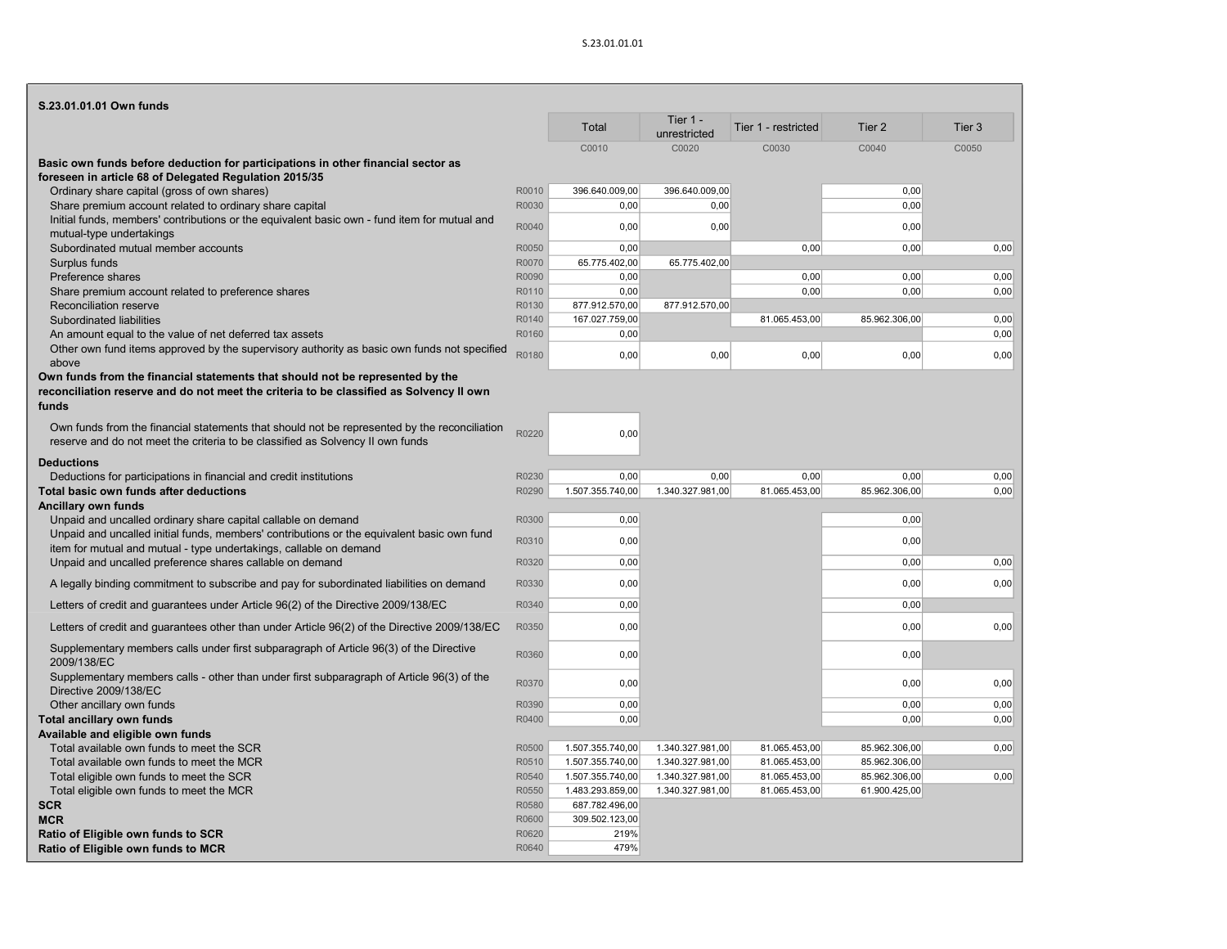| S.23.01.01.01 Own funds                                                                                                                                                        |                |                                      |                                      |                                |                                |                   |
|--------------------------------------------------------------------------------------------------------------------------------------------------------------------------------|----------------|--------------------------------------|--------------------------------------|--------------------------------|--------------------------------|-------------------|
|                                                                                                                                                                                |                | Total                                | Tier 1 -<br>unrestricted             | Tier 1 - restricted            | Tier <sub>2</sub>              | Tier <sub>3</sub> |
|                                                                                                                                                                                |                | C0010                                | C0020                                | C0030                          | C0040                          | C0050             |
| Basic own funds before deduction for participations in other financial sector as<br>foreseen in article 68 of Delegated Regulation 2015/35                                     |                |                                      |                                      |                                |                                |                   |
| Ordinary share capital (gross of own shares)                                                                                                                                   | R0010          | 396.640.009,00                       | 396.640.009,00                       |                                | 0,00                           |                   |
| Share premium account related to ordinary share capital                                                                                                                        | R0030          | 0,00                                 | 0,00                                 |                                | 0,00                           |                   |
| Initial funds, members' contributions or the equivalent basic own - fund item for mutual and<br>mutual-type undertakings                                                       | R0040          | 0,00                                 | 0,00                                 |                                | 0,00                           |                   |
| Subordinated mutual member accounts                                                                                                                                            | R0050          | 0,00                                 |                                      | 0,00                           | 0,00                           | 0,00              |
| Surplus funds                                                                                                                                                                  | R0070          | 65.775.402,00                        | 65.775.402,00                        |                                |                                |                   |
| Preference shares                                                                                                                                                              | R0090          | 0,00                                 |                                      | 0,00                           | 0,00                           | 0,00              |
| Share premium account related to preference shares                                                                                                                             | R0110          | 0,00                                 |                                      | 0.00                           | 0.00                           | 0,00              |
| Reconciliation reserve                                                                                                                                                         | R0130          | 877.912.570,00                       | 877.912.570,00                       |                                |                                |                   |
| Subordinated liabilities<br>An amount equal to the value of net deferred tax assets                                                                                            | R0140<br>R0160 | 167.027.759,00<br>0,00               |                                      | 81.065.453,00                  | 85.962.306,00                  | 0,00<br>0.00      |
| Other own fund items approved by the supervisory authority as basic own funds not specified<br>above                                                                           | R0180          | 0,00                                 | 0,00                                 | 0,00                           | 0,00                           | 0,00              |
| Own funds from the financial statements that should not be represented by the                                                                                                  |                |                                      |                                      |                                |                                |                   |
| reconciliation reserve and do not meet the criteria to be classified as Solvency II own                                                                                        |                |                                      |                                      |                                |                                |                   |
| funds                                                                                                                                                                          |                |                                      |                                      |                                |                                |                   |
|                                                                                                                                                                                |                |                                      |                                      |                                |                                |                   |
| Own funds from the financial statements that should not be represented by the reconciliation<br>reserve and do not meet the criteria to be classified as Solvency II own funds | R0220          | 0,00                                 |                                      |                                |                                |                   |
|                                                                                                                                                                                |                |                                      |                                      |                                |                                |                   |
| <b>Deductions</b>                                                                                                                                                              |                |                                      |                                      |                                |                                |                   |
| Deductions for participations in financial and credit institutions                                                                                                             | R0230          | 0,00                                 | 0,00                                 | 0,00                           | 0,00                           | 0,00              |
| Total basic own funds after deductions<br>Ancillary own funds                                                                                                                  | R0290          | 1.507.355.740,00                     | 1.340.327.981,00                     | 81.065.453,00                  | 85.962.306,00                  | 0,00              |
| Unpaid and uncalled ordinary share capital callable on demand                                                                                                                  | R0300          | 0,00                                 |                                      |                                | 0,00                           |                   |
| Unpaid and uncalled initial funds, members' contributions or the equivalent basic own fund                                                                                     |                |                                      |                                      |                                |                                |                   |
| item for mutual and mutual - type undertakings, callable on demand                                                                                                             | R0310          | 0,00                                 |                                      |                                | 0,00                           |                   |
| Unpaid and uncalled preference shares callable on demand                                                                                                                       | R0320          | 0,00                                 |                                      |                                | 0,00                           | 0,00              |
| A legally binding commitment to subscribe and pay for subordinated liabilities on demand                                                                                       | R0330          | 0.00                                 |                                      |                                | 0,00                           | 0,00              |
| Letters of credit and guarantees under Article 96(2) of the Directive 2009/138/EC                                                                                              | R0340          | 0,00                                 |                                      |                                | 0,00                           |                   |
| Letters of credit and guarantees other than under Article 96(2) of the Directive 2009/138/EC                                                                                   | R0350          | 0,00                                 |                                      |                                | 0,00                           | 0,00              |
| Supplementary members calls under first subparagraph of Article 96(3) of the Directive<br>2009/138/EC                                                                          | R0360          | 0,00                                 |                                      |                                | 0,00                           |                   |
| Supplementary members calls - other than under first subparagraph of Article 96(3) of the<br>Directive 2009/138/EC                                                             | R0370          | 0,00                                 |                                      |                                | 0,00                           | 0,00              |
| Other ancillary own funds                                                                                                                                                      | R0390          | 0,00                                 |                                      |                                | 0,00                           | 0,00              |
| Total ancillary own funds                                                                                                                                                      | R0400          | 0,00                                 |                                      |                                | 0.00                           | 0.00              |
| Available and eligible own funds                                                                                                                                               |                |                                      |                                      |                                |                                |                   |
| Total available own funds to meet the SCR                                                                                                                                      | R0500          | 1.507.355.740,00                     | 1.340.327.981,00                     | 81.065.453,00                  | 85.962.306,00                  | 0,00              |
| Total available own funds to meet the MCR                                                                                                                                      | R0510          | 1.507.355.740,00                     | 1.340.327.981,00                     | 81.065.453,00                  | 85.962.306,00                  |                   |
| Total eligible own funds to meet the SCR<br>Total eligible own funds to meet the MCR                                                                                           | R0540<br>R0550 | 1.507.355.740,00<br>1.483.293.859,00 | 1.340.327.981,00<br>1.340.327.981,00 | 81.065.453,00<br>81.065.453,00 | 85.962.306,00<br>61.900.425,00 | 0,00              |
| <b>SCR</b>                                                                                                                                                                     | R0580          | 687.782.496,00                       |                                      |                                |                                |                   |
| <b>MCR</b>                                                                                                                                                                     | R0600          | 309.502.123,00                       |                                      |                                |                                |                   |
| Ratio of Eligible own funds to SCR                                                                                                                                             | R0620          | 219%                                 |                                      |                                |                                |                   |
| Ratio of Eligible own funds to MCR                                                                                                                                             | R0640          | 479%                                 |                                      |                                |                                |                   |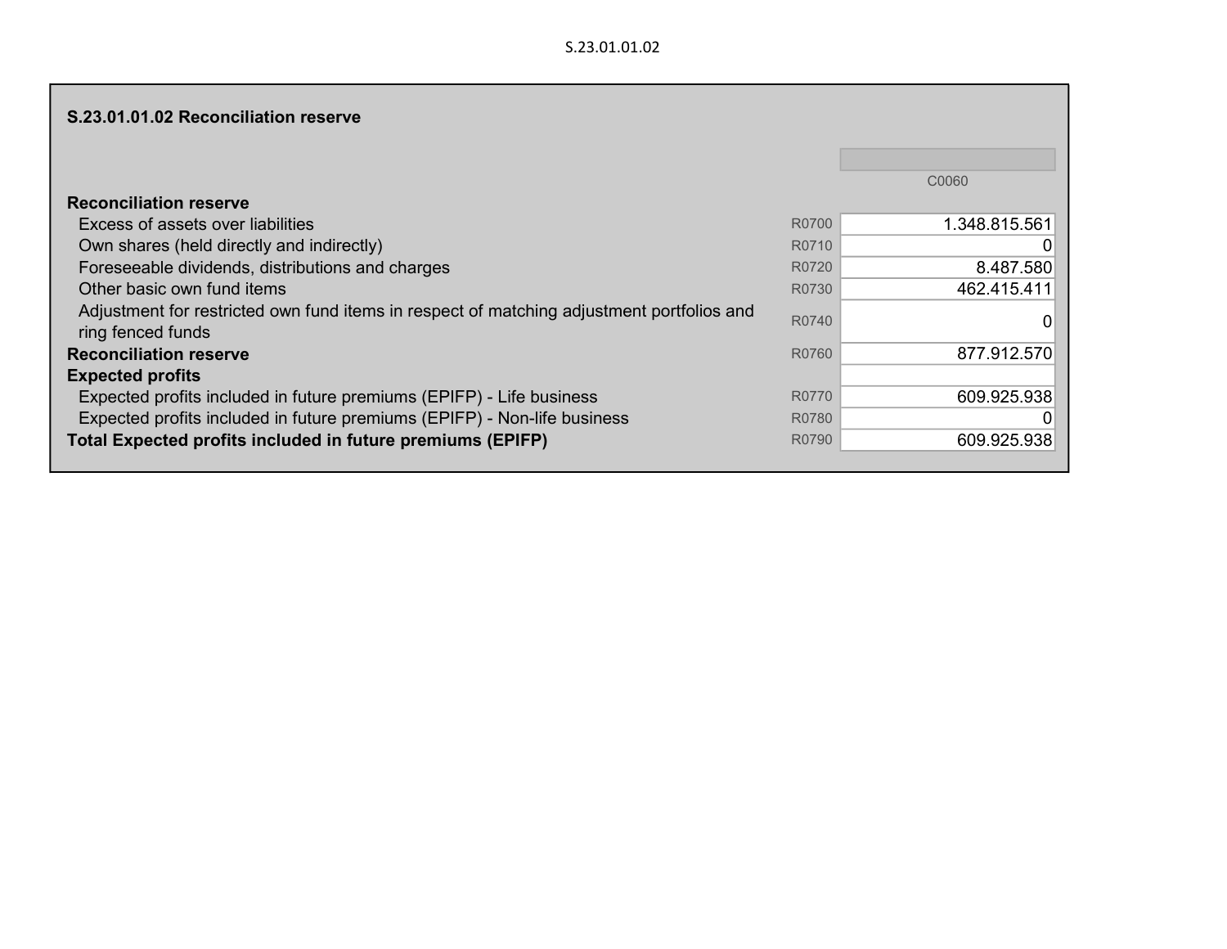|                                                                                                                |       | C0060         |
|----------------------------------------------------------------------------------------------------------------|-------|---------------|
| <b>Reconciliation reserve</b>                                                                                  |       |               |
| Excess of assets over liabilities                                                                              | R0700 | 1.348.815.561 |
| Own shares (held directly and indirectly)                                                                      | R0710 |               |
| Foreseeable dividends, distributions and charges                                                               | R0720 | 8.487.580     |
| Other basic own fund items                                                                                     | R0730 | 462.415.411   |
| Adjustment for restricted own fund items in respect of matching adjustment portfolios and<br>ring fenced funds | R0740 |               |
| <b>Reconciliation reserve</b>                                                                                  | R0760 | 877.912.570   |
| <b>Expected profits</b>                                                                                        |       |               |
| Expected profits included in future premiums (EPIFP) - Life business                                           | R0770 | 609.925.938   |
| Expected profits included in future premiums (EPIFP) - Non-life business                                       | R0780 |               |
| Total Expected profits included in future premiums (EPIFP)                                                     | R0790 | 609.925.938   |
|                                                                                                                |       |               |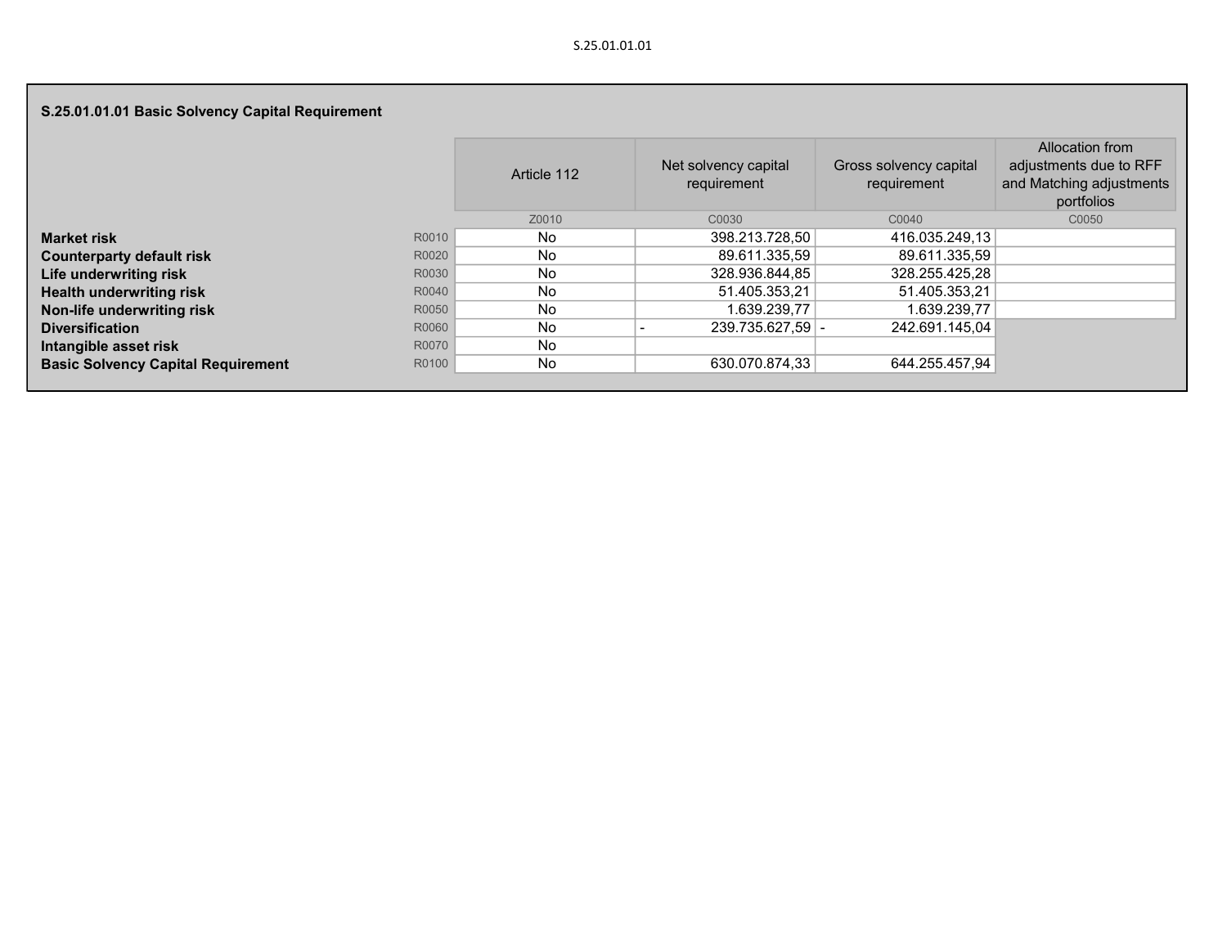## S.25.01.01.01 Basic Solvency Capital Requirement

|                                           |       | Article 112 | Net solvency capital<br>requirement | Gross solvency capital<br>requirement | Allocation from<br>adjustments due to RFF<br>and Matching adjustments<br>portfolios |
|-------------------------------------------|-------|-------------|-------------------------------------|---------------------------------------|-------------------------------------------------------------------------------------|
|                                           |       | Z0010       | C0030                               | C0040                                 | C0050                                                                               |
| <b>Market risk</b>                        | R0010 | No          | 398.213.728,50                      | 416.035.249,13                        |                                                                                     |
| <b>Counterparty default risk</b>          | R0020 | No          | 89.611.335,59                       | 89.611.335,59                         |                                                                                     |
| Life underwriting risk                    | R0030 | <b>No</b>   | 328.936.844,85                      | 328.255.425,28                        |                                                                                     |
| <b>Health underwriting risk</b>           | R0040 | No          | 51.405.353,21                       | 51.405.353,21                         |                                                                                     |
| Non-life underwriting risk                | R0050 | No          | 1.639.239,77                        | 1.639.239,77                          |                                                                                     |
| <b>Diversification</b>                    | R0060 | No          | $239.735.627,59$ -                  | 242.691.145.04                        |                                                                                     |
| Intangible asset risk                     | R0070 | No          |                                     |                                       |                                                                                     |
| <b>Basic Solvency Capital Requirement</b> | R0100 | No          | 630.070.874,33                      | 644.255.457,94                        |                                                                                     |
|                                           |       |             |                                     |                                       |                                                                                     |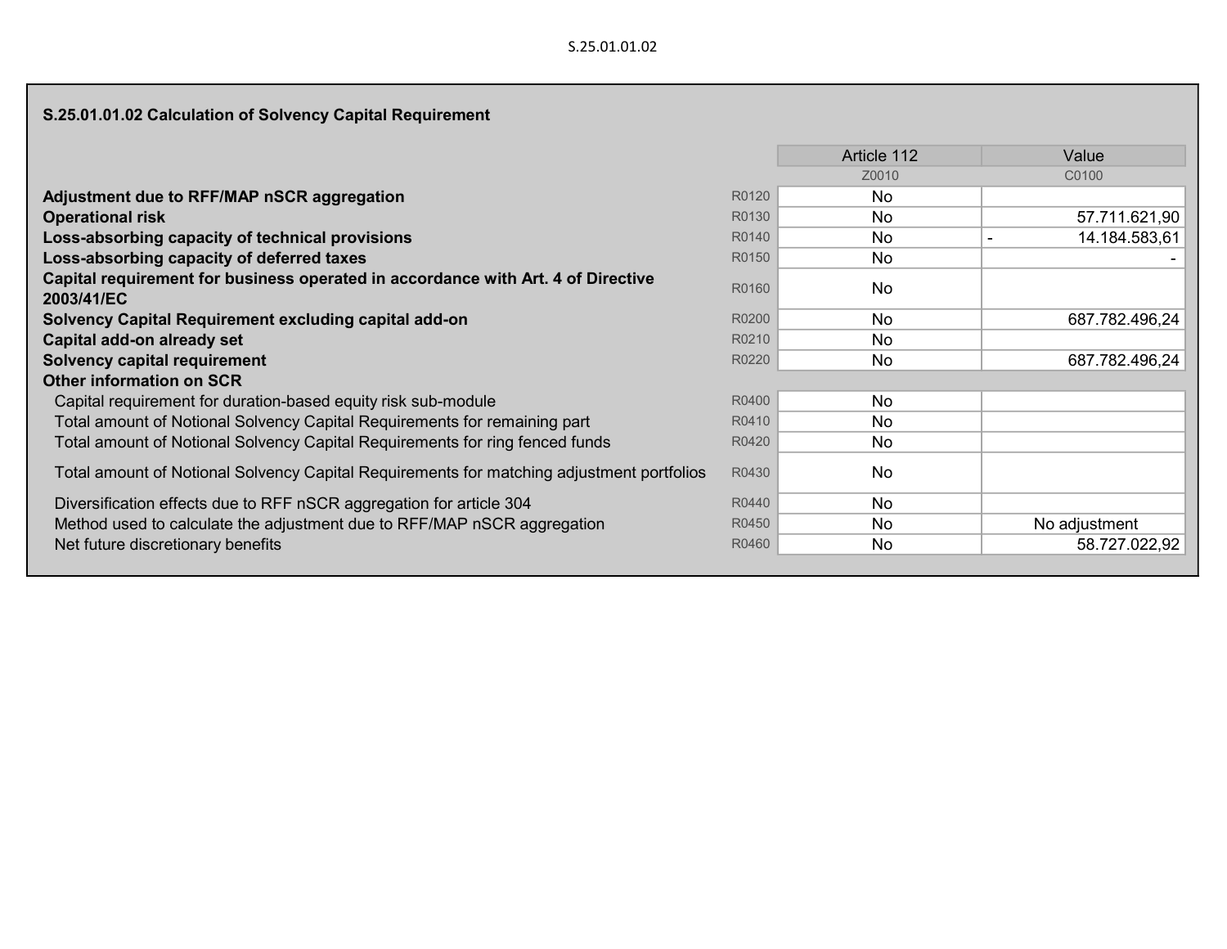# S.25.01.01.02 Calculation of Solvency Capital Requirement

|                                                                                           |       | Article 112 | Value          |
|-------------------------------------------------------------------------------------------|-------|-------------|----------------|
|                                                                                           |       | Z0010       | C0100          |
| Adjustment due to RFF/MAP nSCR aggregation                                                | R0120 | No          |                |
| <b>Operational risk</b>                                                                   | R0130 | No.         | 57.711.621,90  |
| Loss-absorbing capacity of technical provisions                                           | R0140 | No          | 14.184.583,61  |
| Loss-absorbing capacity of deferred taxes                                                 | R0150 | No          |                |
| Capital requirement for business operated in accordance with Art. 4 of Directive          | R0160 | <b>No</b>   |                |
| 2003/41/EC                                                                                |       |             |                |
| Solvency Capital Requirement excluding capital add-on                                     | R0200 | No.         | 687.782.496,24 |
| Capital add-on already set                                                                | R0210 | No.         |                |
| <b>Solvency capital requirement</b>                                                       | R0220 | No          | 687.782.496,24 |
| Other information on SCR                                                                  |       |             |                |
| Capital requirement for duration-based equity risk sub-module                             | R0400 | No          |                |
| Total amount of Notional Solvency Capital Requirements for remaining part                 | R0410 | No.         |                |
| Total amount of Notional Solvency Capital Requirements for ring fenced funds              | R0420 | No.         |                |
| Total amount of Notional Solvency Capital Requirements for matching adjustment portfolios | R0430 | No          |                |
| Diversification effects due to RFF nSCR aggregation for article 304                       | R0440 | No          |                |
| Method used to calculate the adjustment due to RFF/MAP nSCR aggregation                   | R0450 | No.         | No adjustment  |
| Net future discretionary benefits                                                         | R0460 | No          | 58.727.022,92  |
|                                                                                           |       |             |                |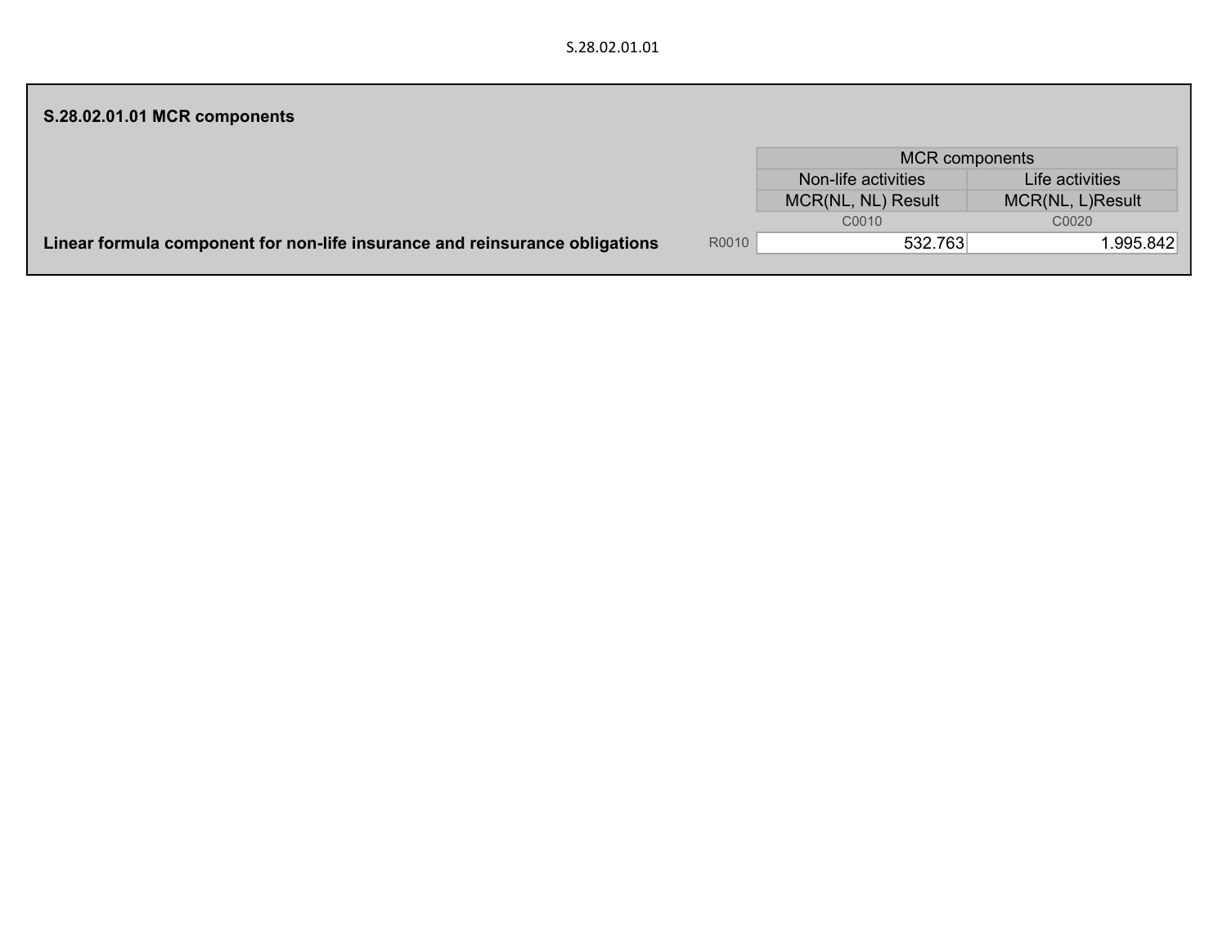| S.28.02.01.01 MCR components                                                |       |                       |                  |  |  |  |
|-----------------------------------------------------------------------------|-------|-----------------------|------------------|--|--|--|
|                                                                             |       | <b>MCR</b> components |                  |  |  |  |
|                                                                             |       | Non-life activities   | Life activities  |  |  |  |
|                                                                             |       | MCR(NL, NL) Result    | MCR(NL, L)Result |  |  |  |
|                                                                             |       | C0010                 | C0020            |  |  |  |
| Linear formula component for non-life insurance and reinsurance obligations | R0010 | 532.763               | 1.995.842        |  |  |  |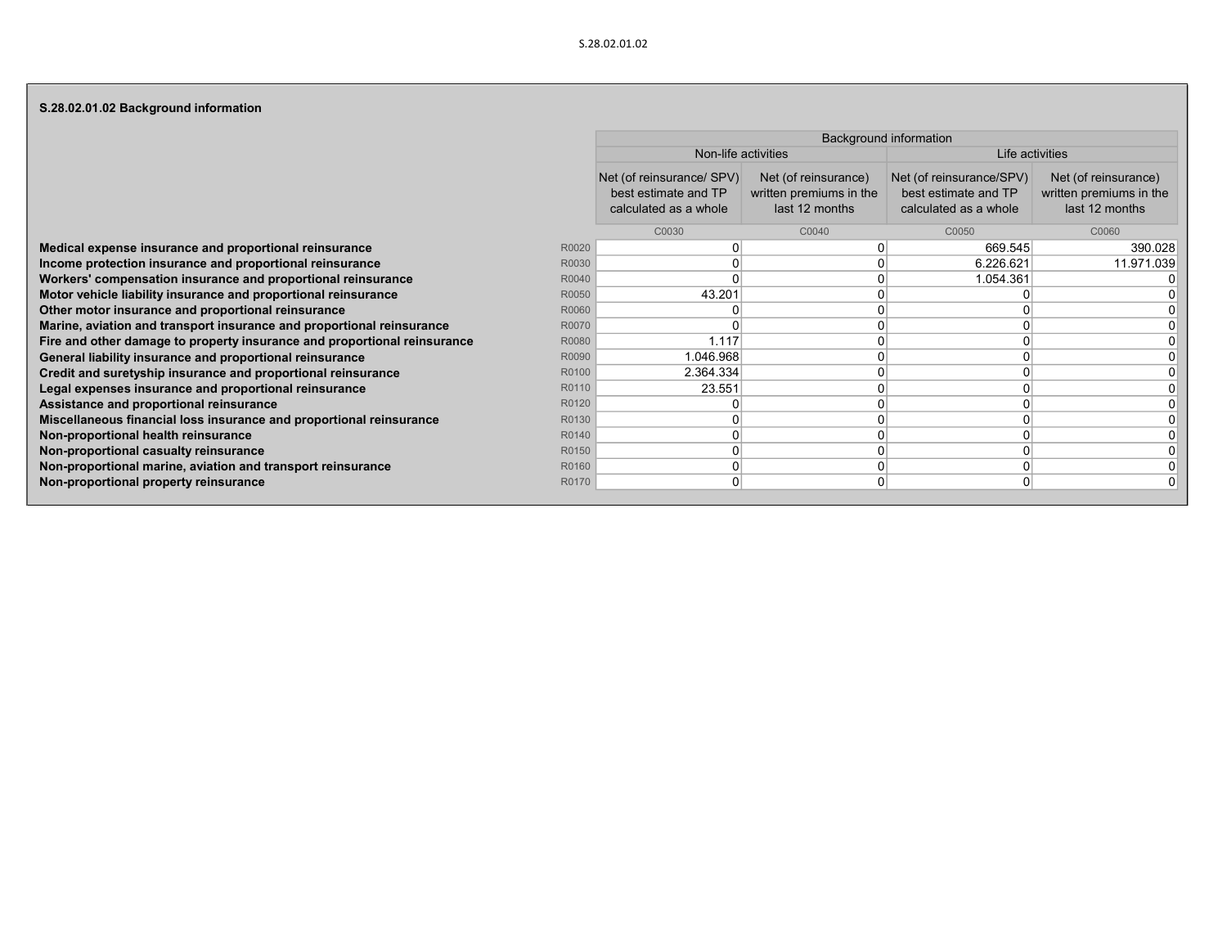### S.28.02.01.02 Background information

|                                                                          |       | <b>Background information</b>                                              |                                                                   |                                                                           |                                                                   |  |  |  |  |  |  |
|--------------------------------------------------------------------------|-------|----------------------------------------------------------------------------|-------------------------------------------------------------------|---------------------------------------------------------------------------|-------------------------------------------------------------------|--|--|--|--|--|--|
|                                                                          |       | Non-life activities                                                        |                                                                   | Life activities                                                           |                                                                   |  |  |  |  |  |  |
|                                                                          |       | Net (of reinsurance/ SPV)<br>best estimate and TP<br>calculated as a whole | Net (of reinsurance)<br>written premiums in the<br>last 12 months | Net (of reinsurance/SPV)<br>best estimate and TP<br>calculated as a whole | Net (of reinsurance)<br>written premiums in the<br>last 12 months |  |  |  |  |  |  |
|                                                                          |       | C0030                                                                      | C0040                                                             | C0050                                                                     | C0060                                                             |  |  |  |  |  |  |
| Medical expense insurance and proportional reinsurance                   | R0020 |                                                                            |                                                                   | 669.545                                                                   | 390.028                                                           |  |  |  |  |  |  |
| Income protection insurance and proportional reinsurance                 | R0030 |                                                                            |                                                                   | 6.226.621                                                                 | 11.971.039                                                        |  |  |  |  |  |  |
| Workers' compensation insurance and proportional reinsurance             | R0040 |                                                                            |                                                                   | 1.054.361                                                                 |                                                                   |  |  |  |  |  |  |
| Motor vehicle liability insurance and proportional reinsurance           | R0050 | 43.201                                                                     |                                                                   |                                                                           |                                                                   |  |  |  |  |  |  |
| Other motor insurance and proportional reinsurance                       | R0060 |                                                                            |                                                                   |                                                                           |                                                                   |  |  |  |  |  |  |
| Marine, aviation and transport insurance and proportional reinsurance    | R0070 |                                                                            |                                                                   |                                                                           |                                                                   |  |  |  |  |  |  |
| Fire and other damage to property insurance and proportional reinsurance | R0080 | 1.117                                                                      |                                                                   |                                                                           |                                                                   |  |  |  |  |  |  |
| General liability insurance and proportional reinsurance                 | R0090 | 1.046.968                                                                  |                                                                   |                                                                           |                                                                   |  |  |  |  |  |  |
| Credit and suretyship insurance and proportional reinsurance             | R0100 | 2.364.334                                                                  |                                                                   |                                                                           |                                                                   |  |  |  |  |  |  |
| Legal expenses insurance and proportional reinsurance                    | R0110 | 23.551                                                                     |                                                                   |                                                                           |                                                                   |  |  |  |  |  |  |
| Assistance and proportional reinsurance                                  | R0120 |                                                                            |                                                                   |                                                                           |                                                                   |  |  |  |  |  |  |
| Miscellaneous financial loss insurance and proportional reinsurance      | R0130 |                                                                            |                                                                   |                                                                           |                                                                   |  |  |  |  |  |  |
| Non-proportional health reinsurance                                      | R0140 |                                                                            |                                                                   |                                                                           |                                                                   |  |  |  |  |  |  |
| Non-proportional casualty reinsurance                                    | R0150 |                                                                            |                                                                   |                                                                           |                                                                   |  |  |  |  |  |  |
| Non-proportional marine, aviation and transport reinsurance              | R0160 |                                                                            |                                                                   |                                                                           |                                                                   |  |  |  |  |  |  |
| Non-proportional property reinsurance                                    | R0170 |                                                                            |                                                                   |                                                                           |                                                                   |  |  |  |  |  |  |
|                                                                          |       |                                                                            |                                                                   |                                                                           |                                                                   |  |  |  |  |  |  |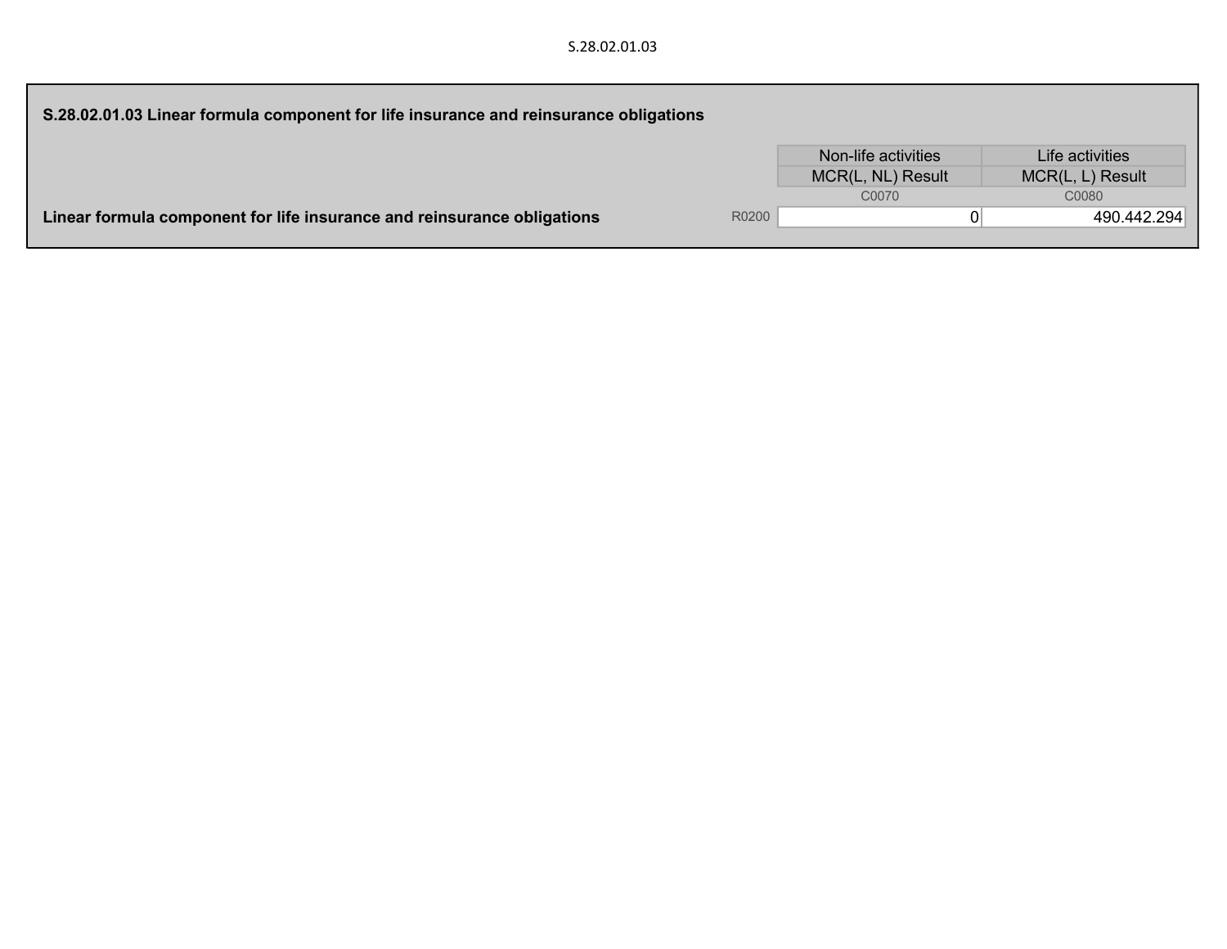| S.28.02.01.03 Linear formula component for life insurance and reinsurance obligations |       |                     |                  |
|---------------------------------------------------------------------------------------|-------|---------------------|------------------|
|                                                                                       |       | Non-life activities | Life activities  |
|                                                                                       |       | MCR(L, NL) Result   | MCR(L, L) Result |
|                                                                                       |       | C0070               | C0080            |
| Linear formula component for life insurance and reinsurance obligations               | R0200 |                     | 490.442.294      |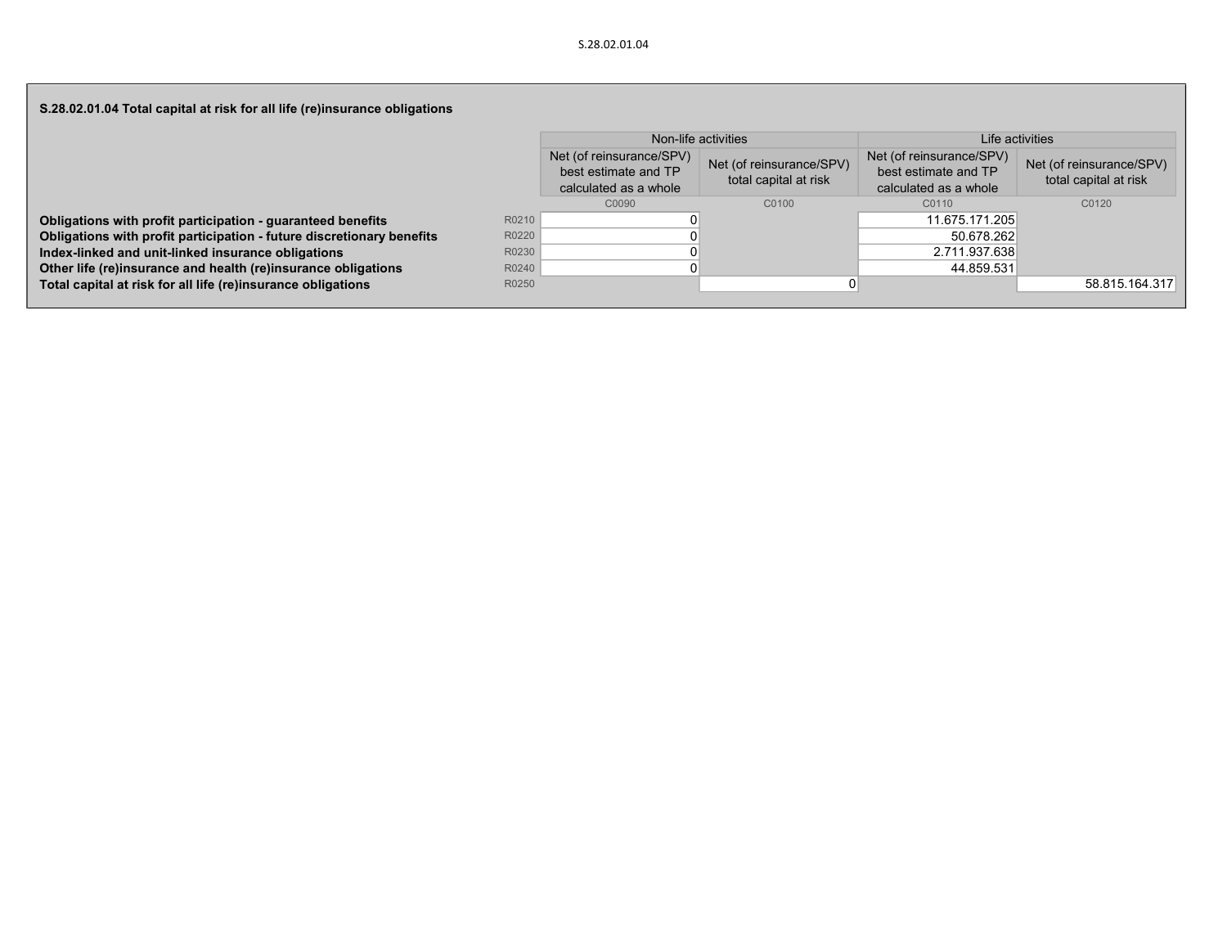| S.28.02.01.04 Total capital at risk for all life (re)insurance obligations |       |                                                                           |                                                   |                                                                           |                                                   |
|----------------------------------------------------------------------------|-------|---------------------------------------------------------------------------|---------------------------------------------------|---------------------------------------------------------------------------|---------------------------------------------------|
|                                                                            |       |                                                                           | Non-life activities                               | Life activities                                                           |                                                   |
|                                                                            |       | Net (of reinsurance/SPV)<br>best estimate and TP<br>calculated as a whole | Net (of reinsurance/SPV)<br>total capital at risk | Net (of reinsurance/SPV)<br>best estimate and TP<br>calculated as a whole | Net (of reinsurance/SPV)<br>total capital at risk |
|                                                                            |       | C0090                                                                     | C0100                                             | C0110                                                                     | C0120                                             |
| Obligations with profit participation - guaranteed benefits                | R0210 |                                                                           |                                                   | 11.675.171.205                                                            |                                                   |
| Obligations with profit participation - future discretionary benefits      | R0220 |                                                                           |                                                   | 50.678.262                                                                |                                                   |
| Index-linked and unit-linked insurance obligations                         | R0230 |                                                                           |                                                   | 2.711.937.638                                                             |                                                   |
| Other life (re)insurance and health (re)insurance obligations              | R0240 |                                                                           |                                                   | 44.859.531                                                                |                                                   |
| Total capital at risk for all life (re)insurance obligations               | R0250 |                                                                           |                                                   |                                                                           | 58.815.164.317                                    |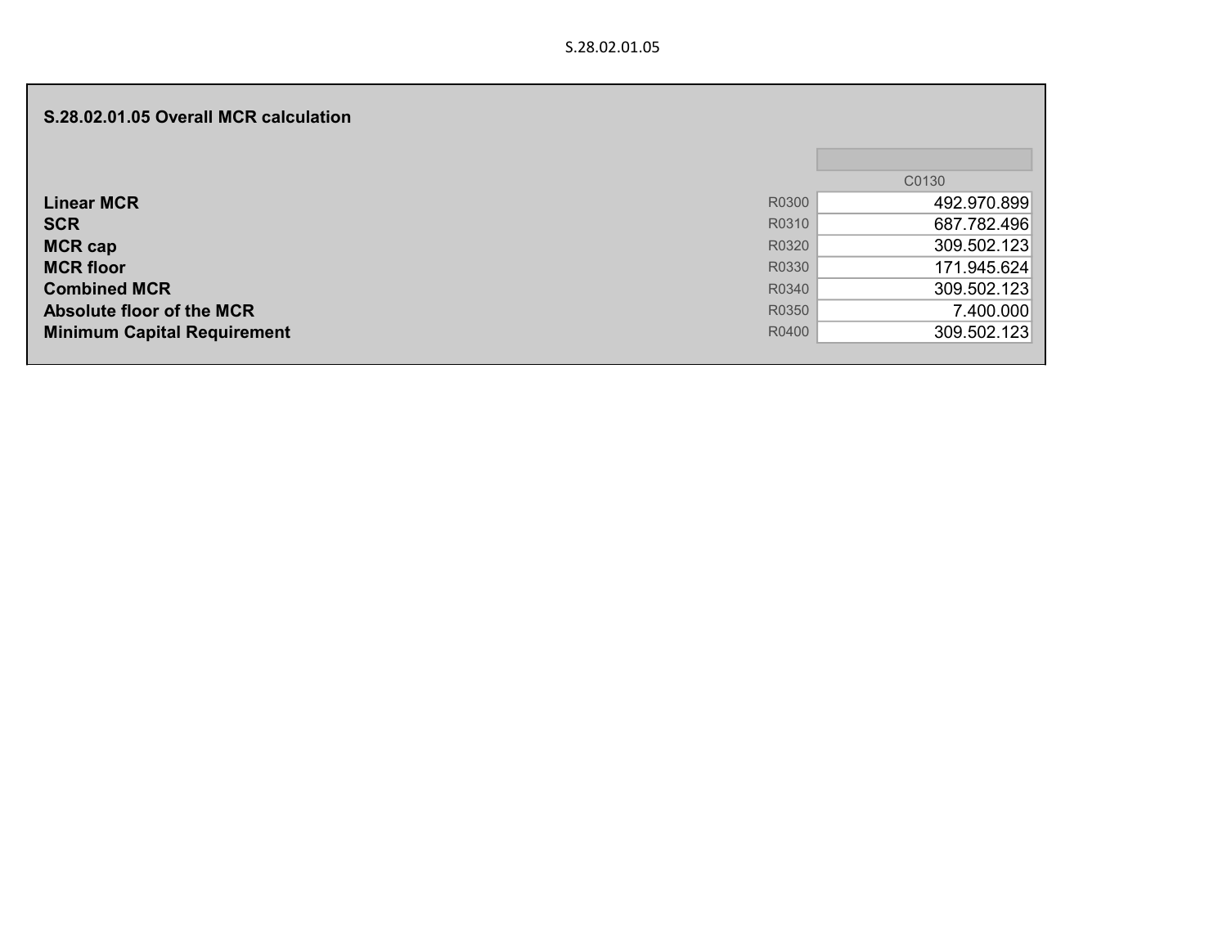| S.28.02.01.05 Overall MCR calculation |       |             |
|---------------------------------------|-------|-------------|
|                                       |       | C0130       |
| <b>Linear MCR</b>                     | R0300 | 492.970.899 |
| <b>SCR</b>                            | R0310 | 687.782.496 |
| <b>MCR cap</b>                        | R0320 | 309.502.123 |
| <b>MCR floor</b>                      | R0330 | 171.945.624 |
| <b>Combined MCR</b>                   | R0340 | 309.502.123 |
| <b>Absolute floor of the MCR</b>      | R0350 | 7.400.000   |
| <b>Minimum Capital Requirement</b>    | R0400 | 309.502.123 |
|                                       |       |             |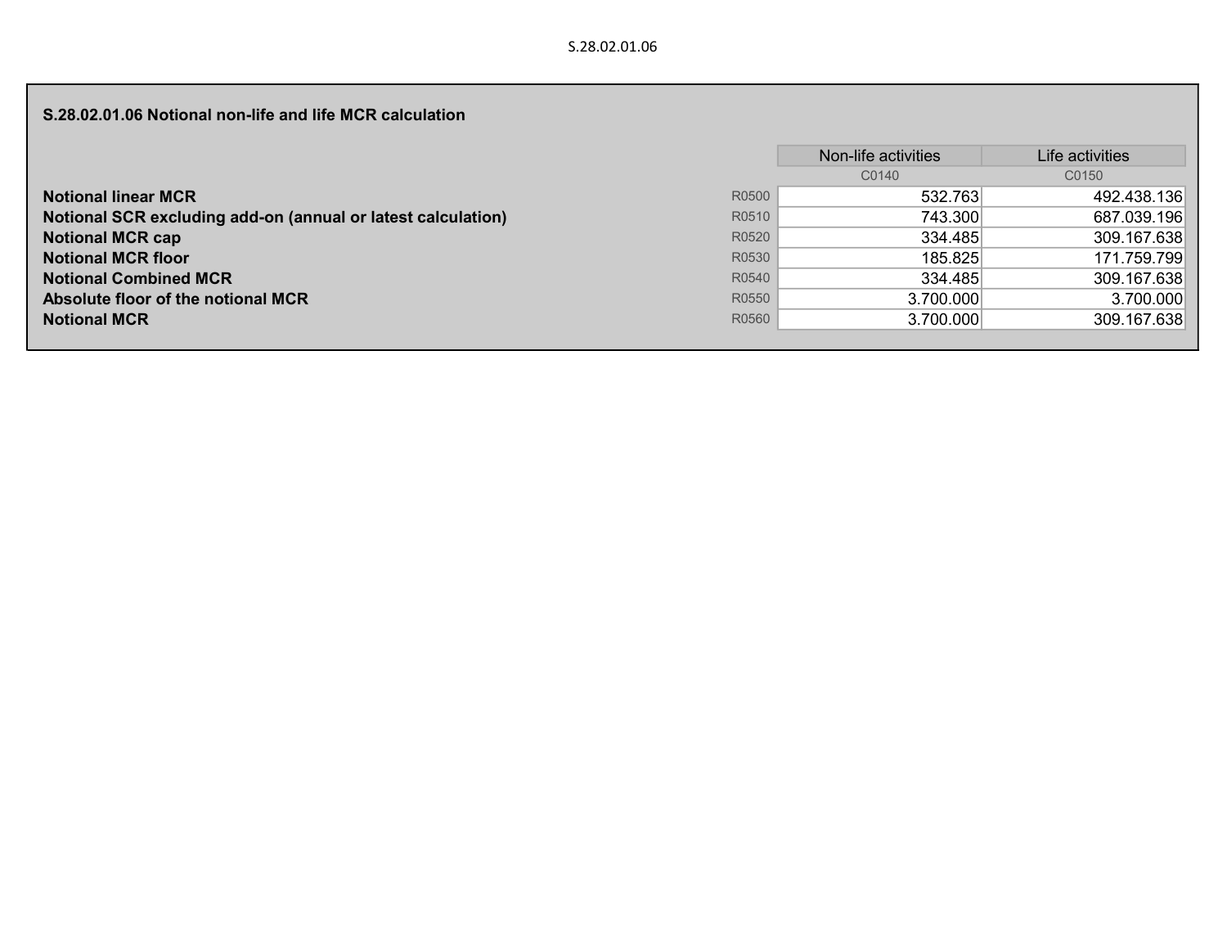## S.28.02.01.06 Notional non-life and life MCR calculation

|                                                              |       | Non-life activities | Life activities |
|--------------------------------------------------------------|-------|---------------------|-----------------|
|                                                              |       | C0140               | C0150           |
| <b>Notional linear MCR</b>                                   | R0500 | 532.763             | 492.438.136     |
| Notional SCR excluding add-on (annual or latest calculation) | R0510 | 743.300             | 687.039.196     |
| <b>Notional MCR cap</b>                                      | R0520 | 334.485             | 309.167.638     |
| <b>Notional MCR floor</b>                                    | R0530 | 185.825             | 171.759.799     |
| <b>Notional Combined MCR</b>                                 | R0540 | 334.485             | 309.167.638     |
| Absolute floor of the notional MCR                           | R0550 | 3.700.000           | 3.700.000       |
| <b>Notional MCR</b>                                          | R0560 | 3.700.000           | 309.167.638     |
|                                                              |       |                     |                 |